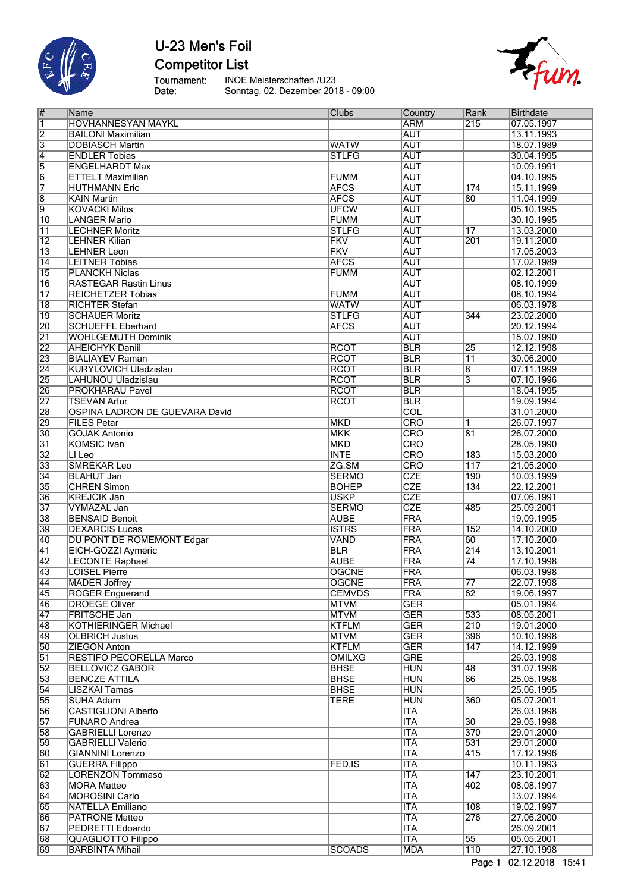

**Competitor List** 

Tournament:<br>Date:

INOE Meisterschaften /U23<br>Sonntag, 02. Dezember 2018 - 09:00



| $\overline{\#}$ | Name                             | <b>Clubs</b>              | Country                   | Rank             | <b>Birthdate</b> |
|-----------------|----------------------------------|---------------------------|---------------------------|------------------|------------------|
| $\vert$ 1       | <b>HOVHANNESYAN MAYKL</b>        |                           | <b>ARM</b>                | 215              | 07.05.1997       |
| $\overline{2}$  | <b>BAILONI Maximilian</b>        |                           | <b>AUT</b>                |                  | 13.11.1993       |
|                 |                                  |                           |                           |                  |                  |
| $\overline{3}$  | <b>DOBIASCH Martin</b>           | <b>WATW</b>               | <b>AUT</b>                |                  | 18.07.1989       |
| $\overline{4}$  | <b>ENDLER Tobias</b>             | <b>STLFG</b>              | <b>AUT</b>                |                  | 30.04.1995       |
| 5               | <b>ENGELHARDT Max</b>            |                           | <b>AUT</b>                |                  | 10.09.1991       |
| $\overline{6}$  | <b>ETTELT Maximilian</b>         | <b>FUMM</b>               | <b>AUT</b>                |                  | 04.10.1995       |
| 7               | <b>HUTHMANN Eric</b>             | <b>AFCS</b>               | <b>AUT</b>                | 174              | 15.11.1999       |
|                 |                                  |                           |                           |                  |                  |
| $\overline{8}$  | <b>KAIN Martin</b>               | <b>AFCS</b>               | <b>AUT</b>                | $\overline{80}$  | 11.04.1999       |
| $\overline{9}$  | <b>KOVACKI Milos</b>             | <b>UFCW</b>               | <b>AUT</b>                |                  | 05.10.1995       |
| 10              | <b>LANGER Mario</b>              | <b>FUMM</b>               | <b>AUT</b>                |                  | 30.10.1995       |
| $\overline{11}$ | <b>LECHNER Moritz</b>            | <b>STLFG</b>              | <b>AUT</b>                | $\overline{17}$  | 13.03.2000       |
| $\overline{12}$ | <b>LEHNER Kilian</b>             | <b>FKV</b>                | <b>AUT</b>                | 201              | 19.11.2000       |
|                 |                                  |                           |                           |                  |                  |
| $\overline{13}$ | <b>LEHNER Leon</b>               | $\overline{\mathsf{FKV}}$ | <b>AUT</b>                |                  | 17.05.2003       |
| 14              | <b>LEITNER Tobias</b>            | <b>AFCS</b>               | <b>AUT</b>                |                  | 17.02.1989       |
| $\overline{15}$ | <b>PLANCKH Niclas</b>            | <b>FUMM</b>               | <b>AUT</b>                |                  | 02.12.2001       |
| 16              | <b>RASTEGAR Rastin Linus</b>     |                           | <b>AUT</b>                |                  | 08.10.1999       |
|                 |                                  |                           | <b>AUT</b>                |                  |                  |
| $\overline{17}$ | <b>REICHETZER Tobias</b>         | <b>FUMM</b>               |                           |                  | 08.10.1994       |
| $\overline{18}$ | <b>RICHTER Stefan</b>            | <b>WATW</b>               | <b>AUT</b>                |                  | 06.03.1978       |
| $\overline{19}$ | <b>SCHAUER Moritz</b>            | <b>STLFG</b>              | <b>AUT</b>                | 344              | 23.02.2000       |
| 20              | <b>SCHUEFFL Eberhard</b>         | <b>AFCS</b>               | <b>AUT</b>                |                  | 20.12.1994       |
| $\overline{21}$ | <b>WOHLGEMUTH Dominik</b>        |                           | <b>AUT</b>                |                  | 15.07.1990       |
|                 |                                  |                           |                           |                  |                  |
| 22              | <b>AHEICHYK Daniil</b>           | <b>RCOT</b>               | <b>BLR</b>                | $\overline{25}$  | 12.12.1998       |
| 23              | <b>BIALIAYEV Raman</b>           | <b>RCOT</b>               | <b>BLR</b>                | $\overline{11}$  | 30.06.2000       |
| $\overline{24}$ | <b>KURYLOVICH Uladzislau</b>     | <b>RCOT</b>               | <b>BLR</b>                | $\overline{8}$   | 07.11.1999       |
| 25              | LAHUNOU Uladzislau               | <b>RCOT</b>               | <b>BLR</b>                | $\overline{3}$   | 07.10.1996       |
| 26              | <b>PROKHARAU Pavel</b>           | <b>RCOT</b>               | <b>BLR</b>                |                  | 18.04.1995       |
|                 |                                  |                           |                           |                  |                  |
| $\overline{27}$ | <b>TSEVAN Artur</b>              | <b>RCOT</b>               | <b>BLR</b>                |                  | 19.09.1994       |
| 28              | OSPINA LADRON DE GUEVARA David   |                           | $\overline{\text{COL}}$   |                  | 31.01.2000       |
| 29              | <b>FILES Petar</b>               | <b>MKD</b>                | <b>CRO</b>                | $\overline{1}$   | 26.07.1997       |
| $ 30\rangle$    | <b>GOJAK Antonio</b>             | <b>MKK</b>                | <b>CRO</b>                | $\overline{81}$  | 26.07.2000       |
| $\overline{31}$ |                                  |                           | CRO                       |                  |                  |
|                 | <b>KOMSIC</b> Ivan               | <b>MKD</b>                |                           |                  | 28.05.1990       |
| $\overline{32}$ | LI Leo                           | <b>INTE</b>               | CRO                       | 183              | 15.03.2000       |
| 33              | <b>SMREKAR Leo</b>               | ZG.SM                     | $\overline{\text{CRO}}$   | 117              | 21.05.2000       |
| $\overline{34}$ | <b>BLAHUT Jan</b>                | <b>SERMO</b>              | CZE                       | 190              | 10.03.1999       |
| 35              | <b>CHREN Simon</b>               | <b>BOHEP</b>              | <b>CZE</b>                | 134              | 22.12.2001       |
|                 |                                  |                           |                           |                  |                  |
| 36              | <b>KREJCIK Jan</b>               | <b>USKP</b>               | <b>CZE</b>                |                  | 07.06.1991       |
| $\overline{37}$ | <b>VYMAZAL Jan</b>               | <b>SERMO</b>              | <b>CZE</b>                | 485              | 25.09.2001       |
| 38              | <b>BENSAID Benoit</b>            | <b>AUBE</b>               | FRA                       |                  | 19.09.1995       |
| 39              | <b>DEXARCIS Lucas</b>            | <b>ISTRS</b>              | <b>FRA</b>                | 152              | 14.10.2000       |
| 40              | <b>DU PONT DE ROMEMONT Edgar</b> | <b>VAND</b>               | FRA                       | 60               | 17.10.2000       |
|                 |                                  |                           |                           |                  |                  |
| 41              | EICH-GOZZI Aymeric               | <b>BLR</b>                | FRA                       | $\overline{214}$ | 13.10.2001       |
| $\overline{42}$ | <b>LECONTE Raphael</b>           | <b>AUBE</b>               | FRA                       | $\overline{74}$  | 17.10.1998       |
| 43              | <b>LOISEL Pierre</b>             | <b>OGCNE</b>              | FRA                       |                  | 06.03.1998       |
| $\overline{44}$ | MADER Joffrey                    | <b>OGCNE</b>              | FRA                       | $\overline{77}$  | 22.07.1998       |
|                 |                                  |                           |                           | 62               |                  |
| 45              | <b>ROGER Enguerand</b>           | <b>CEMVDS</b>             | FRA                       |                  | 19.06.1997       |
| $\overline{46}$ | <b>DROEGE Oliver</b>             | <b>MTVM</b>               | <b>GER</b>                |                  | 05.01.1994       |
| 47              | <b>FRITSCHE Jan</b>              | <b>MTVM</b>               | <b>GER</b>                | 533              | 08.05.2001       |
| $\overline{48}$ | <b>KOTHIERINGER Michael</b>      | <b>KTFLM</b>              | <b>GER</b>                | 210              | 19.01.2000       |
| $\overline{49}$ | <b>OLBRICH Justus</b>            | <b>MTVM</b>               | <b>GER</b>                | 396              | 10.10.1998       |
|                 |                                  |                           |                           | 147              |                  |
| 50              | <b>ZIEGON Anton</b>              | <b>KTFLM</b>              | <b>GER</b>                |                  | 14.12.1999       |
| $\overline{51}$ | RESTIFO PECORELLA Marco          | <b>OMILXG</b>             | <b>GRE</b>                |                  | 26.03.1998       |
| $\overline{52}$ | <b>BELLOVICZ GABOR</b>           | <b>BHSE</b>               | <b>HUN</b>                | 48               | 31.07.1998       |
| 53              | <b>BENCZE ATTILA</b>             | <b>BHSE</b>               | <b>HUN</b>                | 66               | 25.05.1998       |
| $\overline{54}$ | <b>LISZKAI Tamas</b>             | <b>BHSE</b>               | <b>HUN</b>                |                  | 25.06.1995       |
|                 |                                  |                           |                           |                  |                  |
| 55              | <b>SUHA Adam</b>                 | <b>TERE</b>               | <b>HUN</b>                | 360              | 05.07.2001       |
| 56              | <b>CASTIGLIONI Alberto</b>       |                           | $\overline{\text{ITA}}$   |                  | 26.03.1998       |
| 57              | <b>FUNARO Andrea</b>             |                           | <b>ITA</b>                | $\overline{30}$  | 29.05.1998       |
| 58              | <b>GABRIELLI Lorenzo</b>         |                           | <b>ITA</b>                | 370              | 29.01.2000       |
| 59              | <b>GABRIELLI Valerio</b>         |                           | <b>ITA</b>                | 531              | 29.01.2000       |
|                 |                                  |                           |                           |                  |                  |
| 60              | <b>GIANNINI Lorenzo</b>          |                           | <b>ITA</b>                | 415              | 17.12.1996       |
| $\overline{61}$ | <b>GUERRA Filippo</b>            | FED.IS                    | <b>ITA</b>                |                  | 10.11.1993       |
| $\overline{62}$ | <b>LORENZON Tommaso</b>          |                           | <b>ITA</b>                | 147              | 23.10.2001       |
| 63              | <b>MORA Matteo</b>               |                           | <b>ITA</b>                | 402              | 08.08.1997       |
|                 |                                  |                           |                           |                  |                  |
| 64              | <b>MOROSINI Carlo</b>            |                           | <b>ITA</b>                |                  | 13.07.1994       |
| 65              | <b>NATELLA Emiliano</b>          |                           | <b>ITA</b>                | 108              | 19.02.1997       |
| 66              | <b>PATRONE Matteo</b>            |                           | $\overline{\mathsf{ITA}}$ | 276              | 27.06.2000       |
| 67              | PEDRETTI Edoardo                 |                           | <b>ITA</b>                |                  | 26.09.2001       |
| 68              | <b>QUAGLIOTTO Filippo</b>        |                           | <b>ITA</b>                | 55               | 05.05.2001       |
|                 |                                  |                           |                           |                  |                  |
| 69              | <b>BARBINTA Mihail</b>           | <b>SCOADS</b>             | <b>MDA</b>                | 110              | 27.10.1998       |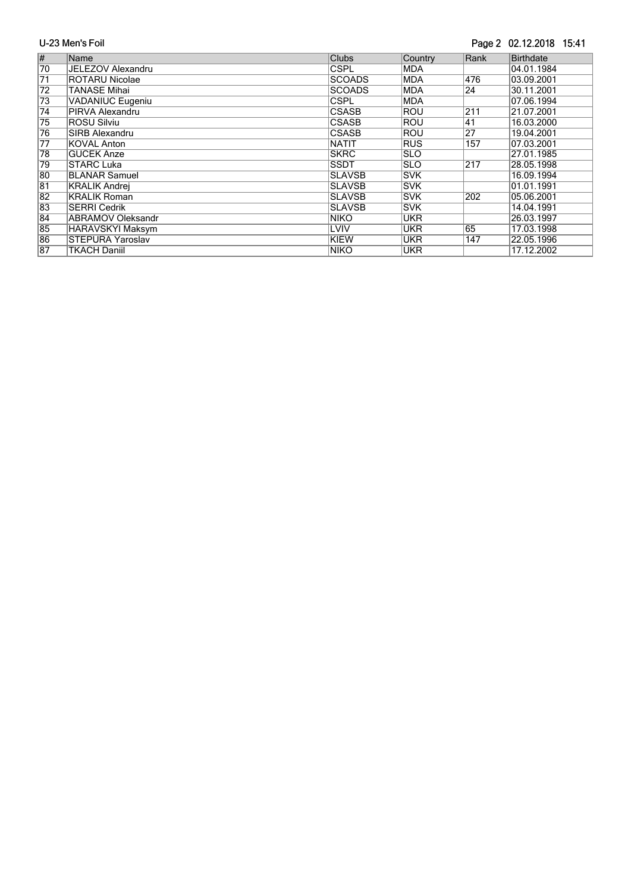#### Page 2 02.12.2018 15:41

| $\overline{\#}$ | <b>Name</b>              | <b>Clubs</b>  | Country     | Rank            | <b>Birthdate</b> |
|-----------------|--------------------------|---------------|-------------|-----------------|------------------|
| 70              | JELEZOV Alexandru        | <b>CSPL</b>   | <b>IMDA</b> |                 | 04.01.1984       |
| $\overline{71}$ | <b>ROTARU Nicolae</b>    | <b>SCOADS</b> | <b>MDA</b>  | 476             | 03.09.2001       |
| 72              | <b>TANASE Mihai</b>      | <b>SCOADS</b> | <b>MDA</b>  | 24              | 30.11.2001       |
| 73              | <b>VADANIUC Eugeniu</b>  | <b>CSPL</b>   | <b>IMDA</b> |                 | 07.06.1994       |
| $\overline{74}$ | PIRVA Alexandru          | <b>CSASB</b>  | <b>ROU</b>  | 211             | 21.07.2001       |
| $\overline{75}$ | <b>ROSU Silviu</b>       | <b>CSASB</b>  | ROU         | 141             | 16.03.2000       |
| 76              | <b>SIRB Alexandru</b>    | <b>CSASB</b>  | <b>ROU</b>  | $\overline{27}$ | 19.04.2001       |
| $\overline{77}$ | <b>KOVAL Anton</b>       | <b>NATIT</b>  | <b>RUS</b>  | 157             | 07.03.2001       |
| 78              | <b>GUCEK Anze</b>        | <b>SKRC</b>   | <b>SLO</b>  |                 | 27.01.1985       |
| 79              | <b>STARC Luka</b>        | <b>SSDT</b>   | <b>ISLO</b> | 217             | 28.05.1998       |
| 80              | <b>BLANAR Samuel</b>     | <b>SLAVSB</b> | <b>SVK</b>  |                 | 16.09.1994       |
| $\overline{81}$ | <b>KRALIK Andrei</b>     | <b>SLAVSB</b> | <b>SVK</b>  |                 | 01.01.1991       |
| $\overline{82}$ | <b>KRALIK Roman</b>      | <b>SLAVSB</b> | <b>SVK</b>  | 202             | 05.06.2001       |
| 83              | <b>SERRI Cedrik</b>      | <b>SLAVSB</b> | lsvk        |                 | 14.04.1991       |
| $\overline{84}$ | <b>ABRAMOV Oleksandr</b> | <b>NIKO</b>   | <b>UKR</b>  |                 | 26.03.1997       |
| 85              | HARAVSKYI Maksym         | LVIV          | <b>UKR</b>  | 65              | 17.03.1998       |
| 86              | <b>STEPURA Yaroslav</b>  | KIEW          | <b>UKR</b>  | 147             | 22.05.1996       |
| 87              | <b>TKACH Daniil</b>      | <b>NIKO</b>   | <b>UKR</b>  |                 | 17.12.2002       |
|                 |                          |               |             |                 |                  |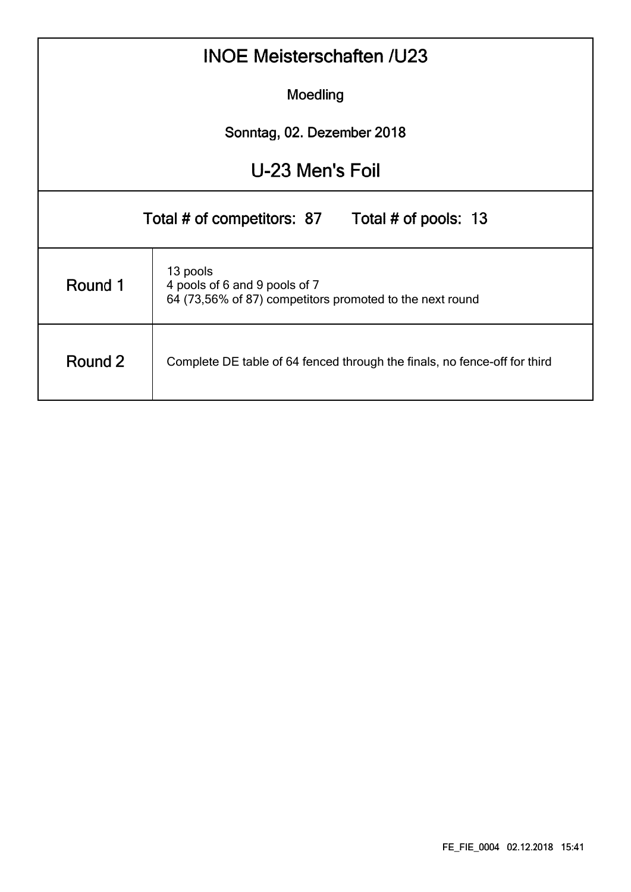|                                                                                      | <b>INOE Meisterschaften /U23</b>                                                                      |  |  |  |  |  |  |  |  |  |  |  |  |
|--------------------------------------------------------------------------------------|-------------------------------------------------------------------------------------------------------|--|--|--|--|--|--|--|--|--|--|--|--|
|                                                                                      | Moedling                                                                                              |  |  |  |  |  |  |  |  |  |  |  |  |
|                                                                                      | Sonntag, 02. Dezember 2018                                                                            |  |  |  |  |  |  |  |  |  |  |  |  |
| U-23 Men's Foil                                                                      |                                                                                                       |  |  |  |  |  |  |  |  |  |  |  |  |
|                                                                                      | Total # of competitors: 87 Total # of pools: 13                                                       |  |  |  |  |  |  |  |  |  |  |  |  |
| Round 1                                                                              | 13 pools<br>4 pools of 6 and 9 pools of 7<br>64 (73,56% of 87) competitors promoted to the next round |  |  |  |  |  |  |  |  |  |  |  |  |
| Round 2<br>Complete DE table of 64 fenced through the finals, no fence-off for third |                                                                                                       |  |  |  |  |  |  |  |  |  |  |  |  |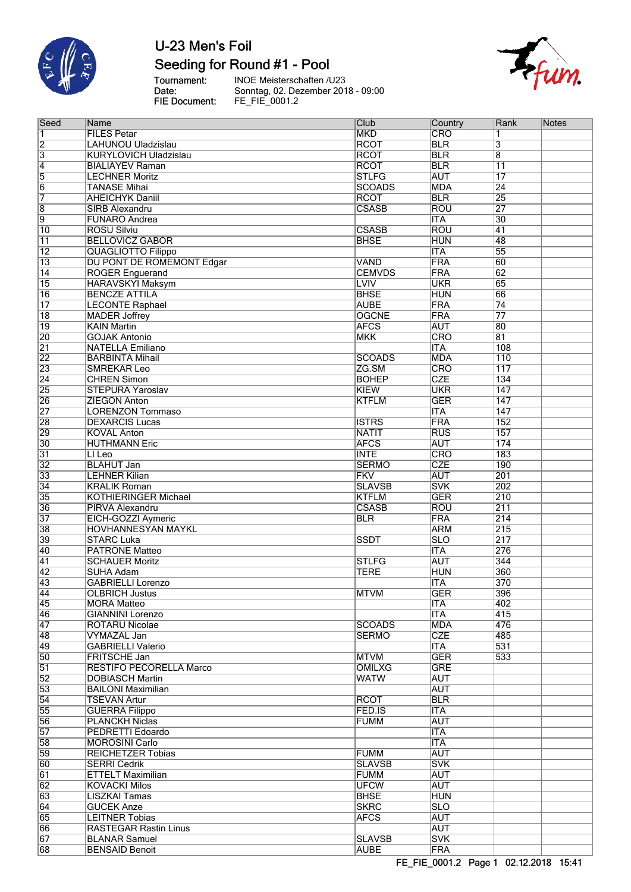

## Seeding for Round #1 - Pool

Tournament:<br>Date:<br>FIE Document:

INOE Meisterschaften /U23<br>Sonntag, 02. Dezember 2018 - 09:00<br>FE\_FIE\_0001.2



| Seed                               | Name                                           | Club                       | Country                               | Rank                    | <b>Notes</b> |
|------------------------------------|------------------------------------------------|----------------------------|---------------------------------------|-------------------------|--------------|
| 1                                  | <b>FILES Petar</b>                             | <b>MKD</b>                 | CRO                                   | 1                       |              |
| $\overline{2}$                     | LAHUNOU Uladzislau                             | <b>RCOT</b>                | <b>BLR</b>                            | $\overline{\mathbf{3}}$ |              |
| $\overline{3}$                     | <b>KURYLOVICH Uladzislau</b>                   | <b>RCOT</b>                | <b>BLR</b>                            | $\overline{\mathbf{8}}$ |              |
| $\overline{4}$                     | <b>BIALIAYEV Raman</b>                         | <b>RCOT</b>                | <b>BLR</b>                            | $\overline{11}$         |              |
| 5                                  | <b>LECHNER Moritz</b>                          | <b>STLFG</b>               | <b>AUT</b>                            | $\overline{17}$         |              |
| $\overline{6}$                     | <b>TANASE Mihai</b>                            | <b>SCOADS</b>              | <b>MDA</b>                            | $\overline{24}$         |              |
| 7                                  | <b>AHEICHYK Daniil</b>                         | <b>RCOT</b>                | <b>BLR</b>                            | $\overline{25}$         |              |
| $\overline{\bm{8}}$                | SIRB Alexandru                                 | <b>CSASB</b>               | <b>ROU</b>                            | $\overline{27}$         |              |
| $\overline{9}$                     | <b>FUNARO Andrea</b>                           |                            | <b>ITA</b>                            | $\overline{30}$         |              |
| $\overline{10}$                    | <b>ROSU Silviu</b>                             | <b>CSASB</b>               | <b>ROU</b>                            | 41                      |              |
| 11                                 | <b>BELLOVICZ GABOR</b>                         | <b>BHSE</b>                | <b>HUN</b>                            | 48                      |              |
| $\overline{12}$                    | <b>QUAGLIOTTO Filippo</b>                      |                            | <b>ITA</b>                            | $\overline{55}$         |              |
| $\overline{13}$                    | DU PONT DE ROMEMONT Edgar                      | <b>VAND</b>                | FRA                                   | 60                      |              |
| $\overline{14}$                    | <b>ROGER Enguerand</b>                         | <b>CEMVDS</b>              | FRA                                   | $\overline{62}$         |              |
| $\overline{15}$                    | <b>HARAVSKYI Maksym</b>                        | <b>LVIV</b><br><b>BHSE</b> | <b>UKR</b><br><b>HUN</b>              | $\overline{65}$<br>66   |              |
| $\overline{16}$<br>$\overline{17}$ | <b>BENCZE ATTILA</b>                           | <b>AUBE</b>                | FRA                                   | $\overline{74}$         |              |
| $\overline{18}$                    | <b>LECONTE Raphael</b><br><b>MADER Joffrey</b> | <b>OGCNE</b>               | FRA                                   | $\overline{77}$         |              |
| $\overline{19}$                    | <b>KAIN Martin</b>                             | <b>AFCS</b>                | <b>AUT</b>                            | 80                      |              |
| 20                                 | <b>GOJAK Antonio</b>                           | <b>MKK</b>                 | CRO                                   | $\overline{81}$         |              |
| $\overline{21}$                    | <b>NATELLA Emiliano</b>                        |                            | <b>ITA</b>                            | 108                     |              |
| $\overline{22}$                    | <b>BARBINTA Mihail</b>                         | <b>SCOADS</b>              | <b>MDA</b>                            | 110                     |              |
| 23                                 | <b>SMREKAR Leo</b>                             | ZG.SM                      | CRO                                   | $\overline{117}$        |              |
| $\overline{24}$                    | <b>CHREN Simon</b>                             | <b>BOHEP</b>               | <b>CZE</b>                            | 134                     |              |
| $\overline{25}$                    | <b>STEPURA Yaroslav</b>                        | <b>KIEW</b>                | <b>UKR</b>                            | 147                     |              |
| 26                                 | <b>ZIEGON Anton</b>                            | <b>KTFLM</b>               | <b>GER</b>                            | 147                     |              |
| $\overline{27}$                    | <b>LORENZON Tommaso</b>                        |                            | <b>ITA</b>                            | 147                     |              |
| 28                                 | <b>DEXARCIS Lucas</b>                          | <b>ISTRS</b>               | FRA                                   | 152                     |              |
| 29                                 | <b>KOVAL Anton</b>                             | <b>NATIT</b>               | RUS                                   | 157                     |              |
| 30                                 | <b>HUTHMANN Eric</b>                           | <b>AFCS</b>                | <b>AUT</b>                            | 174                     |              |
| 31                                 | LI Leo                                         | <b>INTE</b>                | CRO                                   | 183                     |              |
| $\overline{32}$                    | <b>BLAHUT Jan</b>                              | <b>SERMO</b>               | <b>CZE</b>                            | 190                     |              |
| 33                                 | <b>LEHNER Kilian</b>                           | <b>FKV</b>                 | <b>AUT</b>                            | 201                     |              |
| 34                                 | <b>KRALIK Roman</b>                            | <b>SLAVSB</b>              | <b>SVK</b>                            | 202                     |              |
| 35                                 | <b>KOTHIERINGER Michael</b>                    | <b>KTFLM</b>               | <b>GER</b>                            | 210                     |              |
| 36                                 | PIRVA Alexandru                                | <b>CSASB</b>               | ROU                                   | $\overline{211}$        |              |
| 37                                 | EICH-GOZZI Aymeric                             | <b>BLR</b>                 | FRA                                   | $\overline{214}$        |              |
| 38                                 | <b>HOVHANNESYAN MAYKL</b>                      |                            | <b>ARM</b>                            | $\overline{215}$        |              |
| 39                                 | <b>STARC Luka</b>                              | <b>SSDT</b>                | <b>SLO</b>                            | $\overline{217}$        |              |
| 40                                 | <b>PATRONE Matteo</b>                          |                            | $\overline{\text{ITA}}$               | 276                     |              |
| $\overline{41}$                    | <b>SCHAUER Moritz</b>                          | <b>STLFG</b>               | <b>AUT</b>                            | $\overline{344}$        |              |
| $\overline{42}$                    | <b>SUHA Adam</b>                               | <b>TERE</b>                | <b>HUN</b>                            | 360                     |              |
| 43                                 | <b>GABRIELLI Lorenzo</b>                       |                            | <b>ITA</b><br>$\overline{\text{GER}}$ | 370                     |              |
| $\overline{44}$                    | OLBRICH Justus                                 | <b>MTVM</b>                |                                       | 396                     |              |
| 45                                 | <b>MORA Matteo</b>                             |                            | <b>ITA</b><br><b>ITA</b>              | 402<br>415              |              |
| 46<br>$\overline{47}$              | <b>GIANNINI Lorenzo</b><br>ROTARU Nicolae      | <b>SCOADS</b>              | <b>MDA</b>                            | 476                     |              |
| 48                                 | <b>VYMAZAL Jan</b>                             | <b>SERMO</b>               | <b>CZE</b>                            | 485                     |              |
| 49                                 | <b>GABRIELLI Valerio</b>                       |                            | <b>ITA</b>                            | 531                     |              |
| 50                                 | FRITSCHE Jan                                   | <b>MTVM</b>                | <b>GER</b>                            | 533                     |              |
| $\overline{51}$                    | <b>RESTIFO PECORELLA Marco</b>                 | <b>OMILXG</b>              | <b>GRE</b>                            |                         |              |
| $\overline{52}$                    | <b>DOBIASCH Martin</b>                         | <b>WATW</b>                | <b>AUT</b>                            |                         |              |
| 53                                 | <b>BAILONI Maximilian</b>                      |                            | <b>AUT</b>                            |                         |              |
| $\overline{54}$                    | <b>TSEVAN Artur</b>                            | <b>RCOT</b>                | <b>BLR</b>                            |                         |              |
| 55                                 | <b>GUERRA Filippo</b>                          | FED.IS                     | <b>ITA</b>                            |                         |              |
| 56                                 | <b>PLANCKH Niclas</b>                          | <b>FUMM</b>                | <b>AUT</b>                            |                         |              |
| 57                                 | PEDRETTI Edoardo                               |                            | <b>ITA</b>                            |                         |              |
| 58                                 | <b>MOROSINI Carlo</b>                          |                            | <b>ITA</b>                            |                         |              |
| 59                                 | <b>REICHETZER Tobias</b>                       | <b>FUMM</b>                | <b>AUT</b>                            |                         |              |
| 60                                 | <b>SERRI Cedrik</b>                            | <b>SLAVSB</b>              | <b>SVK</b>                            |                         |              |
| $\overline{61}$                    | <b>ETTELT Maximilian</b>                       | <b>FUMM</b>                | <b>AUT</b>                            |                         |              |
| $\overline{62}$                    | <b>KOVACKI Milos</b>                           | <b>UFCW</b>                | <b>AUT</b>                            |                         |              |
| 63                                 | <b>LISZKAI Tamas</b>                           | <b>BHSE</b>                | <b>HUN</b>                            |                         |              |
| 64                                 | <b>GUCEK Anze</b>                              | <b>SKRC</b>                | SLO                                   |                         |              |
| 65                                 | <b>LEITNER Tobias</b>                          | <b>AFCS</b>                | <b>AUT</b>                            |                         |              |
| 66                                 | <b>RASTEGAR Rastin Linus</b>                   |                            | <b>AUT</b>                            |                         |              |
| 67                                 | <b>BLANAR Samuel</b>                           | <b>SLAVSB</b>              | <b>SVK</b>                            |                         |              |
| 68                                 | <b>BENSAID Benoit</b>                          | <b>AUBE</b>                | FRA                                   |                         |              |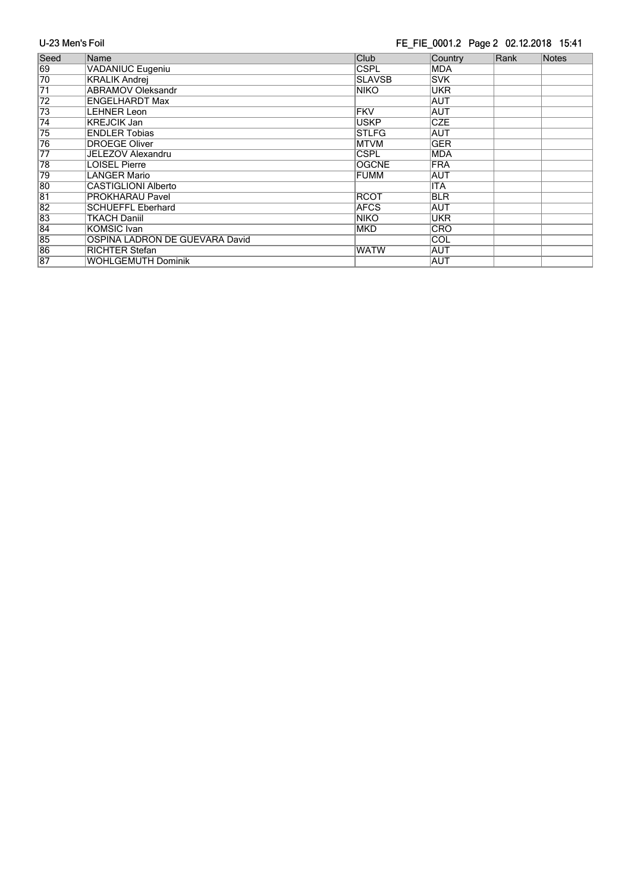#### FE\_FIE\_0001.2 Page 2 02.12.2018 15:41

| Seed            | Name                           | Club          | Country     | Rank | Notes |
|-----------------|--------------------------------|---------------|-------------|------|-------|
| 69              | VADANIUC Eugeniu               | <b>CSPL</b>   | <b>MDA</b>  |      |       |
| 70              | <b>KRALIK Andrej</b>           | <b>SLAVSB</b> | <b>SVK</b>  |      |       |
| $\overline{71}$ | <b>ABRAMOV Oleksandr</b>       | <b>NIKO</b>   | <b>UKR</b>  |      |       |
| $\overline{72}$ | <b>ENGELHARDT Max</b>          |               | <b>AUT</b>  |      |       |
| 73              | LEHNER Leon                    | FKV           | <b>AUT</b>  |      |       |
| $\overline{74}$ | <b>KREJCIK Jan</b>             | <b>USKP</b>   | <b>CZE</b>  |      |       |
| 75              | <b>ENDLER Tobias</b>           | <b>STLFG</b>  | AUT         |      |       |
| 76              | <b>DROEGE Oliver</b>           | <b>MTVM</b>   | <b>GER</b>  |      |       |
| $\overline{77}$ | <b>JELEZOV Alexandru</b>       | <b>CSPL</b>   | <b>MDA</b>  |      |       |
| 78              | <b>LOISEL Pierre</b>           | <b>OGCNE</b>  | <b>IFRA</b> |      |       |
| 79              | LANGER Mario                   | <b>FUMM</b>   | <b>AUT</b>  |      |       |
| 80              | CASTIGLIONI Alberto            |               | <b>ITA</b>  |      |       |
| 81              | PROKHARAU Pavel                | <b>RCOT</b>   | <b>BLR</b>  |      |       |
| $\overline{82}$ | <b>SCHUEFFL Eberhard</b>       | <b>AFCS</b>   | AUT         |      |       |
| 83              | TKACH Daniil                   | <b>NIKO</b>   | <b>UKR</b>  |      |       |
| $\overline{84}$ | <b>KOMSIC Ivan</b>             | <b>MKD</b>    | <b>CRO</b>  |      |       |
| 85              | OSPINA LADRON DE GUEVARA David |               | ∣COL        |      |       |
| 86              | <b>RICHTER Stefan</b>          | <b>WATW</b>   | <b>AUT</b>  |      |       |
| 87              | WOHLGEMUTH Dominik             |               | <b>AUT</b>  |      |       |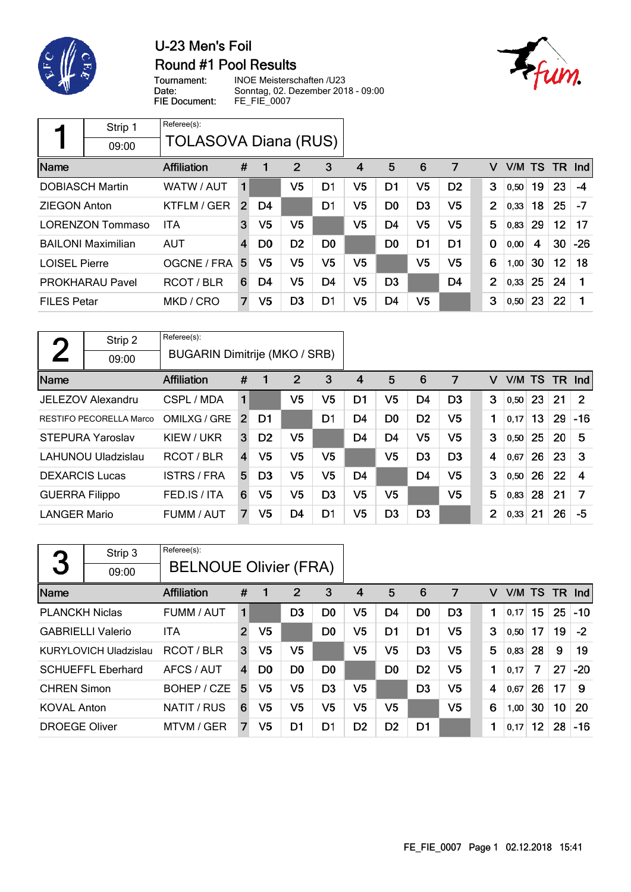

### U-23 Men's Foil **Round #1 Pool Results**



Tournament: Date: FIE Document:

INOE Meisterschaften /U23 Sonntag, 02. Dezember 2018 - 09:00 FE\_FIE\_0007

|                      | Strip 1                   | Referee(s):          |                |                |                |                |                |                |                |                |                |      |           |     |       |
|----------------------|---------------------------|----------------------|----------------|----------------|----------------|----------------|----------------|----------------|----------------|----------------|----------------|------|-----------|-----|-------|
|                      | 09:00                     | TOLASOVA Diana (RUS) |                |                |                |                |                |                |                |                |                |      |           |     |       |
| Name                 |                           | Affiliation          | #              | 1              | 2              | 3              | 4              | 5              | 6              | 7              | v              | V/M  | <b>TS</b> | TR. | Ind   |
|                      | <b>DOBIASCH Martin</b>    | WATW / AUT           | 1              |                | V <sub>5</sub> | D1             | V5             | D1             | V <sub>5</sub> | D <sub>2</sub> | 3              | 0,50 | 19        | 23  | $-4$  |
| <b>ZIEGON Anton</b>  |                           | KTFLM / GER          | $\overline{2}$ | D4             |                | D <sub>1</sub> | V5             | D <sub>0</sub> | D <sub>3</sub> | V5             | $\overline{2}$ | 0,33 | 18        | 25  | $-7$  |
|                      | <b>LORENZON Tommaso</b>   | <b>ITA</b>           | 3              | V5             | V <sub>5</sub> |                | V5             | D <sub>4</sub> | V <sub>5</sub> | V5             | 5              | 0,83 | 29        | 12  | 17    |
|                      | <b>BAILONI Maximilian</b> | <b>AUT</b>           | $\overline{4}$ | D <sub>0</sub> | D <sub>2</sub> | D <sub>0</sub> |                | D0             | D1             | D1             | $\mathbf 0$    | 0,00 | 4         | 30  | $-26$ |
| <b>LOISEL Pierre</b> |                           | OGCNE / FRA          | 5              | V5             | V <sub>5</sub> | V5             | V5             |                | V <sub>5</sub> | V <sub>5</sub> | 6              | 1,00 | 30        | 12  | 18    |
|                      | <b>PROKHARAU Pavel</b>    | RCOT/BLR             | 6              | D4             | V <sub>5</sub> | D <sub>4</sub> | V <sub>5</sub> | D <sub>3</sub> |                | D <sub>4</sub> | $\overline{2}$ | 0,33 | 25        | 24  |       |
| <b>FILES Petar</b>   |                           | MKD / CRO            | 7              | V5             | D <sub>3</sub> | D1             | V5             | D <sub>4</sub> | V <sub>5</sub> |                | 3              | 0,50 | 23        | 22  | 1     |

| η                     | Strip 2                        | Referee(s):                   |                |                |                |                |                |                |                |                |                |        |    |           |            |
|-----------------------|--------------------------------|-------------------------------|----------------|----------------|----------------|----------------|----------------|----------------|----------------|----------------|----------------|--------|----|-----------|------------|
|                       | 09:00                          | BUGARIN Dimitrije (MKO / SRB) |                |                |                |                |                |                |                |                |                |        |    |           |            |
| Name                  |                                | Affiliation                   | #              | 1              | $\overline{2}$ | 3              | 4              | 5              | 6              | 7              | v              | V/M TS |    | <b>TR</b> | <b>Ind</b> |
|                       | JELEZOV Alexandru              | CSPL / MDA                    | 1              |                | V5             | V5             | D1             | V5             | D4             | D <sub>3</sub> | 3              | 0,50   | 23 | 21        | 2          |
|                       | <b>RESTIFO PECORELLA Marco</b> | OMILXG / GRE                  | $\overline{2}$ | D1             |                | D1             | D4             | D <sub>0</sub> | D <sub>2</sub> | V <sub>5</sub> | 1              | 0,17   | 13 | 29        | $-16$      |
|                       | <b>STEPURA Yaroslav</b>        | KIEW / UKR                    | 3              | D <sub>2</sub> | V5             |                | D <sub>4</sub> | D <sub>4</sub> | V <sub>5</sub> | V <sub>5</sub> | 3              | 0,50   | 25 | 20        | 5          |
|                       | <b>LAHUNOU Uladzislau</b>      | RCOT/BLR                      | $\overline{4}$ | V <sub>5</sub> | V5             | V5             |                | V5             | D <sub>3</sub> | D <sub>3</sub> | 4              | 0.67   | 26 | 23        | 3          |
| <b>DEXARCIS Lucas</b> |                                | <b>ISTRS/FRA</b>              | 5              | D <sub>3</sub> | V5             | V5             | D <sub>4</sub> |                | D <sub>4</sub> | V5             | 3              | 0,50   | 26 | 22        | 4          |
| <b>GUERRA Filippo</b> |                                | FED.IS/ITA                    | 6              | V5             | V5             | D <sub>3</sub> | V5             | V5             |                | V5             | 5              | 0,83   | 28 | 21        | 7          |
| <b>LANGER Mario</b>   |                                | FUMM / AUT                    | 7              | V5             | D <sub>4</sub> | D1             | V5             | D <sub>3</sub> | D <sub>3</sub> |                | $\overline{2}$ | 0,33   | 21 | 26        | -5         |

| 3                     | Strip 3<br>09:00             | Referee(s):<br><b>BELNOUE Olivier (FRA)</b> |                |                |                |                |                |                |                |                |   |        |    |     |            |
|-----------------------|------------------------------|---------------------------------------------|----------------|----------------|----------------|----------------|----------------|----------------|----------------|----------------|---|--------|----|-----|------------|
| Name                  |                              | <b>Affiliation</b>                          | #              | 1              | 2              | 3              | 4              | 5              | 6              | 7              | v | V/M TS |    | TR. | <b>Ind</b> |
| <b>PLANCKH Niclas</b> |                              | FUMM / AUT                                  | 1              |                | D <sub>3</sub> | D <sub>0</sub> | V5             | D4             | D <sub>0</sub> | D <sub>3</sub> | 1 | 0,17   | 15 | 25  | $-10$      |
|                       | <b>GABRIELLI Valerio</b>     | <b>ITA</b>                                  | $\overline{2}$ | V <sub>5</sub> |                | D <sub>0</sub> | V5             | D <sub>1</sub> | D1             | V <sub>5</sub> | 3 | 0,50   | 17 | 19  | $-2$       |
|                       | <b>KURYLOVICH Uladzislau</b> | RCOT/BLR                                    | 3              | V5             | V5             |                | V5             | V5             | D <sub>3</sub> | V <sub>5</sub> | 5 | 0,83   | 28 | 9   | 19         |
|                       | <b>SCHUEFFL Eberhard</b>     | AFCS / AUT                                  | $\overline{4}$ | D <sub>0</sub> | D <sub>0</sub> | D <sub>0</sub> |                | D <sub>0</sub> | D <sub>2</sub> | V5             | 1 | 0,17   | 7  | 27  | $-20$      |
| <b>CHREN Simon</b>    |                              | BOHEP / CZE                                 | 5              | V5             | V5             | D <sub>3</sub> | V5             |                | D <sub>3</sub> | V5             | 4 | 0,67   | 26 | 17  | 9          |
| <b>KOVAL Anton</b>    |                              | NATIT / RUS                                 | 6              | V5             | V5             | V <sub>5</sub> | V5             | V5             |                | V5             | 6 | 1,00   | 30 | 10  | 20         |
| <b>DROEGE Oliver</b>  |                              | MTVM / GER                                  | 7              | V5             | D1             | D1             | D <sub>2</sub> | D <sub>2</sub> | D1             |                | 1 | 0,17   | 12 | 28  | $-16$      |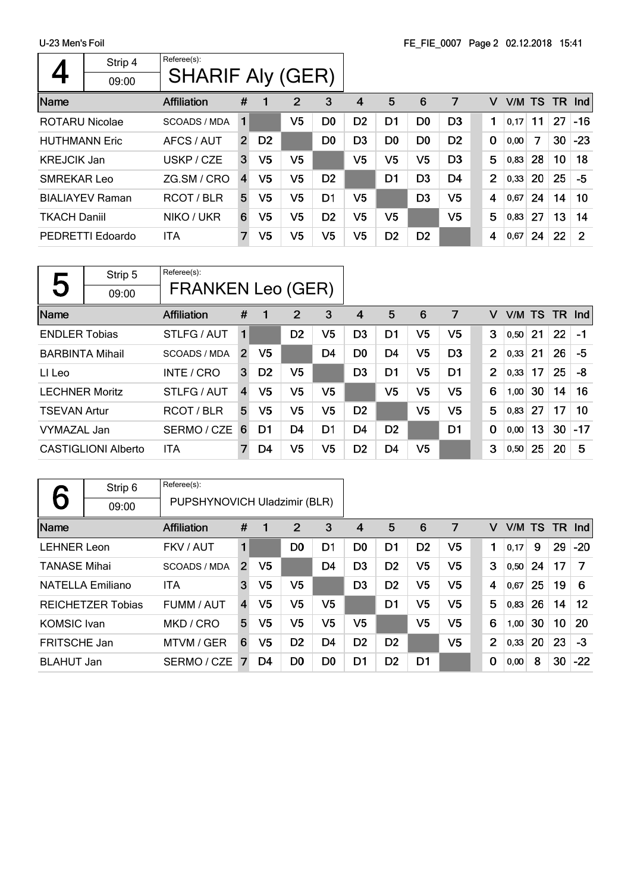|                       | Strip 4                | Referee(s):             |                |                |                |                |                |                |                |                |                |           |    |    |       |
|-----------------------|------------------------|-------------------------|----------------|----------------|----------------|----------------|----------------|----------------|----------------|----------------|----------------|-----------|----|----|-------|
|                       | 09:00                  | <b>SHARIF Aly (GER)</b> |                |                |                |                |                |                |                |                |                |           |    |    |       |
| Name                  |                        | <b>Affiliation</b>      | #              |                | $\overline{2}$ | 3              | 4              | 5              | 6              | 7              | v              | V/M TS TR |    |    | Ind   |
| <b>ROTARU Nicolae</b> |                        | <b>SCOADS / MDA</b>     | 1              |                | V5             | D <sub>0</sub> | D <sub>2</sub> | D <sub>1</sub> | D <sub>0</sub> | D <sub>3</sub> | 1              | 0,17      | 11 | 27 | $-16$ |
| <b>HUTHMANN Eric</b>  |                        | AFCS / AUT              | $\overline{2}$ | D <sub>2</sub> |                | D <sub>0</sub> | D <sub>3</sub> | D <sub>0</sub> | D <sub>0</sub> | D <sub>2</sub> | $\mathbf 0$    | 0,00      | 7  | 30 | $-23$ |
| <b>KREJCIK Jan</b>    |                        | USKP / CZE              | 3              | V <sub>5</sub> | V5             |                | V <sub>5</sub> | V <sub>5</sub> | V5             | D <sub>3</sub> | 5              | 0,83      | 28 | 10 | 18    |
| SMREKAR Leo           |                        | ZG.SM / CRO             | $\overline{4}$ | V <sub>5</sub> | V <sub>5</sub> | D <sub>2</sub> |                | D <sub>1</sub> | D <sub>3</sub> | D <sub>4</sub> | $\overline{2}$ | 0,33      | 20 | 25 | -5    |
|                       | <b>BIALIAYEV Raman</b> | RCOT / BLR              | 5              | V <sub>5</sub> | V <sub>5</sub> | D <sub>1</sub> | V5             |                | D <sub>3</sub> | V5             | 4              | 0.67      | 24 | 14 | 10    |
| <b>TKACH Daniil</b>   |                        | NIKO / UKR              | 6              | V <sub>5</sub> | V <sub>5</sub> | D <sub>2</sub> | V5             | V <sub>5</sub> |                | V <sub>5</sub> | 5              | 0,83      | 27 | 13 | 14    |
|                       | PEDRETTI Edoardo       | ITA                     | 7              | V <sub>5</sub> | V5             | V5             | V5             | D <sub>2</sub> | D <sub>2</sub> |                | 4              | 0,67      | 24 | 22 | 2     |
|                       |                        |                         |                |                |                |                |                |                |                |                |                |           |    |    |       |

|                        | Strip 5                    | Referee(s):              |                |                |                |                |                |                |                |                |                |      |           |     |       |
|------------------------|----------------------------|--------------------------|----------------|----------------|----------------|----------------|----------------|----------------|----------------|----------------|----------------|------|-----------|-----|-------|
| 5                      | 09:00                      | <b>FRANKEN Leo (GER)</b> |                |                |                |                |                |                |                |                |                |      |           |     |       |
| Name                   |                            | <b>Affiliation</b>       | #              | 1              | 2              | 3              | 4              | 5              | 6              | 7              | v              | V/M  | <b>TS</b> | TR. | Ind   |
| <b>ENDLER Tobias</b>   |                            | STLFG / AUT              | 1              |                | D <sub>2</sub> | V5             | D <sub>3</sub> | D1             | V5             | V5             | 3              | 0,50 | 21        | 22  | $-1$  |
| <b>BARBINTA Mihail</b> |                            | SCOADS / MDA             | $\overline{2}$ | V <sub>5</sub> |                | D <sub>4</sub> | D <sub>0</sub> | D4             | V <sub>5</sub> | D <sub>3</sub> | $\overline{2}$ | 0,33 | 21        | 26  | -5    |
| LI Leo                 |                            | INTE / CRO               | 3              | D <sub>2</sub> | V <sub>5</sub> |                | D <sub>3</sub> | D <sub>1</sub> | V <sub>5</sub> | D <sub>1</sub> | $\overline{2}$ | 0,33 | 17        | 25  | -8    |
| <b>LECHNER Moritz</b>  |                            | STLFG / AUT              | $\overline{4}$ | V5             | V <sub>5</sub> | V5             |                | V <sub>5</sub> | V <sub>5</sub> | V <sub>5</sub> | 6              | 1,00 | 30        | 14  | 16    |
| <b>TSEVAN Artur</b>    |                            | RCOT/BLR                 | 5              | V5             | V <sub>5</sub> | V <sub>5</sub> | D <sub>2</sub> |                | V <sub>5</sub> | V <sub>5</sub> | 5              | 0,83 | 27        | 17  | 10    |
| VYMAZAL Jan            |                            | SERMO / CZE              | 6              | D1             | D4             | D1             | D <sub>4</sub> | D <sub>2</sub> |                | D <sub>1</sub> | 0              | 0,00 | 13        | 30  | $-17$ |
|                        | <b>CASTIGLIONI Alberto</b> | ITA                      | 7              | D4             | V5             | V5             | D <sub>2</sub> | D <sub>4</sub> | V5             |                | 3              | 0,50 | 25        | 20  | 5     |

|                     | Strip 6                  | Referee(s):                  |                |                |                |                |                |                |                |                |                |        |    |           |       |
|---------------------|--------------------------|------------------------------|----------------|----------------|----------------|----------------|----------------|----------------|----------------|----------------|----------------|--------|----|-----------|-------|
|                     | 09:00                    | PUPSHYNOVICH Uladzimir (BLR) |                |                |                |                |                |                |                |                |                |        |    |           |       |
| Name                |                          | <b>Affiliation</b>           | #              | -1             | $\overline{2}$ | 3              | 4              | 5              | 6              | 7              | v              | V/M TS |    | <b>TR</b> | Ind   |
| <b>LEHNER Leon</b>  |                          | FKV / AUT                    | 1              |                | D <sub>0</sub> | D1             | D <sub>0</sub> | D1             | D <sub>2</sub> | V5             |                | 0.17   | 9  | 29        | $-20$ |
| <b>TANASE Mihai</b> |                          | <b>SCOADS / MDA</b>          | $\overline{2}$ | V <sub>5</sub> |                | D <sub>4</sub> | D <sub>3</sub> | D <sub>2</sub> | V5             | V5             | 3              | 0,50   | 24 | 17        | 7     |
|                     | <b>NATELLA Emiliano</b>  | <b>ITA</b>                   | 3              | V5             | V5             |                | D3             | D <sub>2</sub> | V <sub>5</sub> | V <sub>5</sub> | 4              | 0,67   | 25 | 19        | 6     |
|                     | <b>REICHETZER Tobias</b> | FUMM / AUT                   | 4              | V5             | V <sub>5</sub> | V5             |                | D <sub>1</sub> | V <sub>5</sub> | V <sub>5</sub> | 5              | 0,83   | 26 | 14        | 12    |
| <b>KOMSIC</b> Ivan  |                          | MKD / CRO                    | 5              | V <sub>5</sub> | V <sub>5</sub> | V <sub>5</sub> | V <sub>5</sub> |                | V <sub>5</sub> | V <sub>5</sub> | 6              | 1,00   | 30 | 10        | 20    |
| <b>FRITSCHE Jan</b> |                          | MTVM / GER                   | 6              | V5             | D <sub>2</sub> | D <sub>4</sub> | D <sub>2</sub> | D <sub>2</sub> |                | V <sub>5</sub> | $\overline{2}$ | 0,33   | 20 | 23        | $-3$  |
| <b>BLAHUT Jan</b>   |                          | SERMO / CZE                  | $\mathbf{7}$   | D4             | D <sub>0</sub> | D <sub>0</sub> | D1             | D <sub>2</sub> | D1             |                | 0              | 0,00   | 8  | 30        | $-22$ |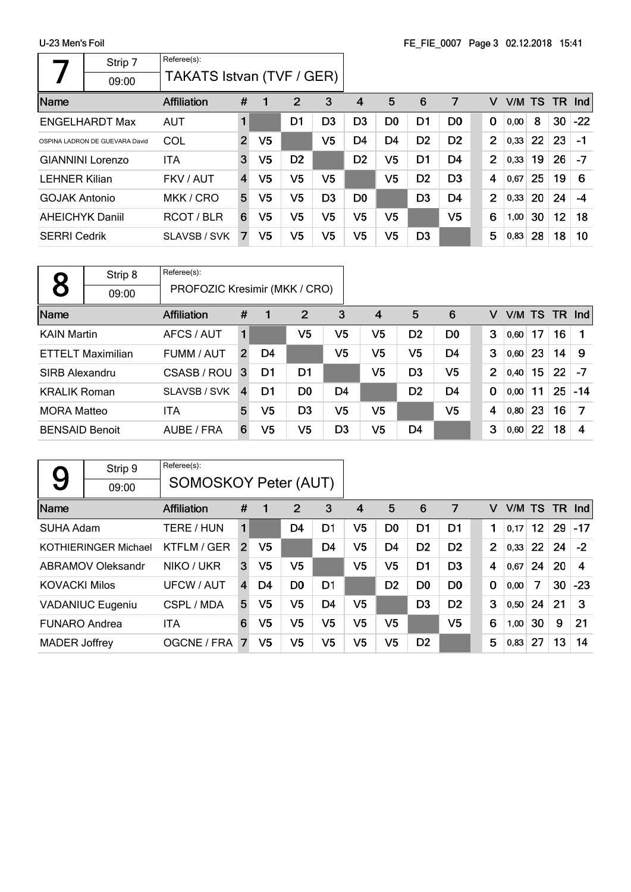$\Gamma$ 

|                        | Strip 7                        | Referee(s):               |                         |                |                |                |                |                |                |                |                |           |    |    |            |
|------------------------|--------------------------------|---------------------------|-------------------------|----------------|----------------|----------------|----------------|----------------|----------------|----------------|----------------|-----------|----|----|------------|
|                        | 09:00                          | TAKATS Istvan (TVF / GER) |                         |                |                |                |                |                |                |                |                |           |    |    |            |
| Name                   |                                | <b>Affiliation</b>        | #                       | 1              | 2              | 3              | 4              | 5              | 6              | 7              | v              | V/M TS TR |    |    | <b>Ind</b> |
|                        | <b>ENGELHARDT Max</b>          | <b>AUT</b>                |                         |                | D1             | D <sub>3</sub> | D <sub>3</sub> | D <sub>0</sub> | D <sub>1</sub> | D <sub>0</sub> | $\mathbf 0$    | 0,00      | 8  | 30 | $-22$      |
|                        | OSPINA LADRON DE GUEVARA David | COL                       | $\overline{2}$          | V <sub>5</sub> |                | V5             | D4             | D4             | D <sub>2</sub> | D <sub>2</sub> | $\overline{2}$ | 0,33      | 22 | 23 | $-1$       |
|                        | <b>GIANNINI Lorenzo</b>        | <b>ITA</b>                | 3                       | V <sub>5</sub> | D <sub>2</sub> |                | D <sub>2</sub> | V5             | D1             | D4             | $\overline{2}$ | 0,33      | 19 | 26 | $-7$       |
| <b>LEHNER Kilian</b>   |                                | FKV / AUT                 | $\overline{\mathbf{4}}$ | V5             | V5             | V5             |                | V5             | D <sub>2</sub> | D <sub>3</sub> | 4              | 0,67      | 25 | 19 | 6          |
| <b>GOJAK Antonio</b>   |                                | MKK / CRO                 | 5                       | V5             | V5             | D <sub>3</sub> | D0             |                | D <sub>3</sub> | D <sub>4</sub> | $\overline{2}$ | 0,33      | 20 | 24 | -4         |
| <b>AHEICHYK Daniil</b> |                                | RCOT/BLR                  | 6                       | V5             | V5             | V5             | V5             | V5             |                | V5             | 6              | 1,00      | 30 | 12 | 18         |
| <b>SERRI Cedrik</b>    |                                | SLAVSB / SVK              | 7                       | V5             | V5             | V5             | V5             | V5             | D <sub>3</sub> |                | 5              | 0,83      | 28 | 18 | 10         |

|                       | Strip 8                  | Referee(s):                   |                |    |                |                |                |                |                |  |             |      |    |    |                 |
|-----------------------|--------------------------|-------------------------------|----------------|----|----------------|----------------|----------------|----------------|----------------|--|-------------|------|----|----|-----------------|
| 8                     | 09:00                    | PROFOZIC Kresimir (MKK / CRO) |                |    |                |                |                |                |                |  |             |      |    |    |                 |
| Name                  |                          | <b>Affiliation</b>            | #              |    | $\overline{2}$ | 3              | $\overline{4}$ | 5              | 6              |  | v           |      |    |    | $V/M$ TS TR Ind |
| <b>KAIN Martin</b>    |                          | AFCS / AUT                    | 1              |    | V5             | V5             | V5             | D <sub>2</sub> | D <sub>0</sub> |  | 3           | 0,60 | 17 | 16 |                 |
|                       | <b>ETTELT Maximilian</b> | FUMM / AUT                    | $\overline{2}$ | D4 |                | V5             | V5             | V <sub>5</sub> | D <sub>4</sub> |  | 3           | 0,60 | 23 | 14 | -9              |
| SIRB Alexandru        |                          | CSASB / ROU                   | 3              | D1 | D1             |                | V5             | D <sub>3</sub> | V <sub>5</sub> |  | 2           | 0,40 | 15 | 22 | $-7$            |
| <b>KRALIK Roman</b>   |                          | SLAVSB / SVK                  | $\overline{4}$ | D1 | D <sub>0</sub> | D <sub>4</sub> |                | D <sub>2</sub> | D <sub>4</sub> |  | $\mathbf 0$ | 0,00 | 11 | 25 | $-14$           |
| <b>MORA Matteo</b>    |                          | ITA                           | 5              | V5 | D <sub>3</sub> | V5             | V <sub>5</sub> |                | V <sub>5</sub> |  | 4           | 0,80 | 23 | 16 | 7               |
| <b>BENSAID Benoit</b> |                          | AUBE / FRA                    | 6              | V5 | V5             | D <sub>3</sub> | V <sub>5</sub> | D4             |                |  | 3           | 0,60 | 22 | 18 | 4               |

| 9                    | Strip 9                     | Referee(s):                 |                |                |                |                |                |                |                |                |          |           |                 |    |                         |
|----------------------|-----------------------------|-----------------------------|----------------|----------------|----------------|----------------|----------------|----------------|----------------|----------------|----------|-----------|-----------------|----|-------------------------|
|                      | 09:00                       | <b>SOMOSKOY Peter (AUT)</b> |                |                |                |                |                |                |                |                |          |           |                 |    |                         |
| Name                 |                             | <b>Affiliation</b>          | #              | 1              | 2              | 3              | 4              | 5              | 6              | 7              | v        | V/M TS TR |                 |    | <b>Ind</b>              |
| SUHA Adam            |                             | TERE / HUN                  | 1              |                | D <sub>4</sub> | D1             | V <sub>5</sub> | D <sub>0</sub> | D1             | D1             | 1        | 0.17      | 12 <sup>1</sup> | 29 | $-17$                   |
|                      | <b>KOTHIERINGER Michael</b> | KTFLM / GER                 | $\overline{2}$ | V <sub>5</sub> |                | D <sub>4</sub> | V <sub>5</sub> | D <sub>4</sub> | D <sub>2</sub> | D <sub>2</sub> | 2        | 0.33      | <b>22</b>       | 24 | $-2$                    |
|                      | <b>ABRAMOV Oleksandr</b>    | NIKO / UKR                  | 3              | V5             | V <sub>5</sub> |                | V <sub>5</sub> | V5             | D1             | D <sub>3</sub> | 4        | 0,67      | 24              | 20 | $\overline{\mathbf{4}}$ |
| <b>KOVACKI Milos</b> |                             | UFCW / AUT                  | $\overline{4}$ | D4             | D <sub>0</sub> | D1             |                | D <sub>2</sub> | D0             | D <sub>0</sub> | $\bf{0}$ | 0,00      | 7               | 30 | $-23$                   |
|                      | <b>VADANIUC Eugeniu</b>     | CSPL / MDA                  | 5              | V <sub>5</sub> | V <sub>5</sub> | D <sub>4</sub> | V <sub>5</sub> |                | D <sub>3</sub> | D <sub>2</sub> | 3        | 0.50      | 24              | 21 | 3                       |
| <b>FUNARO Andrea</b> |                             | ITA                         | 6              | V <sub>5</sub> | V5             | V5             | V <sub>5</sub> | V <sub>5</sub> |                | V <sub>5</sub> | 6        | 1,00      | 30              | 9  | 21                      |
| <b>MADER Joffrey</b> |                             | OGCNE / FRA                 | $\overline{7}$ | V <sub>5</sub> | V5             | V5             | V5             | V5             | D <sub>2</sub> |                | 5        | 0,83      | 27              | 13 | 14                      |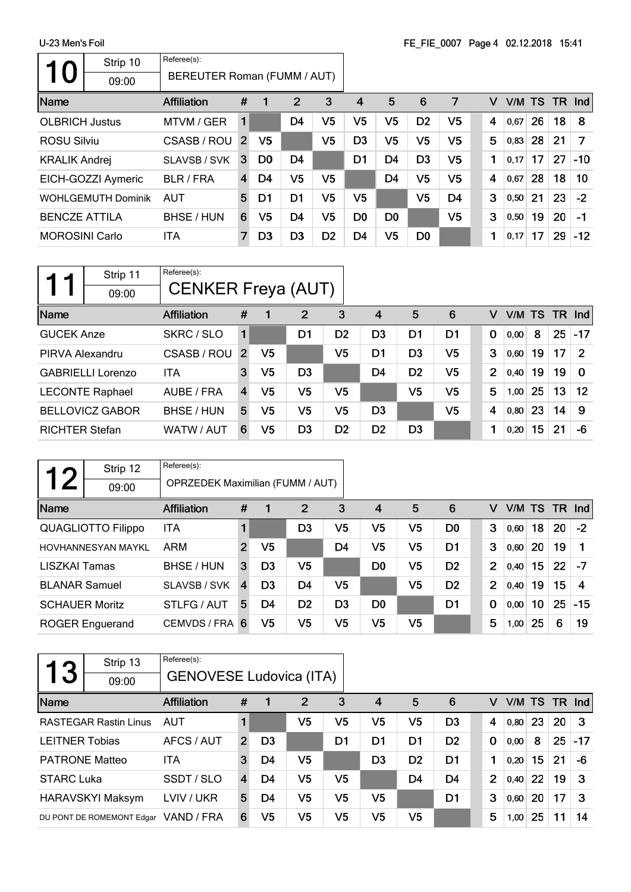|                       | Strip 10                     | Referee(s):                                                       |   |                |                |                |                |                |                |                |   |        |    |    |          |
|-----------------------|------------------------------|-------------------------------------------------------------------|---|----------------|----------------|----------------|----------------|----------------|----------------|----------------|---|--------|----|----|----------|
| O                     | 09:00                        | BEREUTER Roman (FUMM / AUT)                                       |   |                |                |                |                |                |                |                |   |        |    |    |          |
| Name                  |                              | <b>Affiliation</b>                                                | # | 1              | $\overline{2}$ | 3              | 4              | 5              | 6              | 7              | v | V/M TS |    |    | $TR$ Ind |
| <b>OLBRICH Justus</b> |                              | MTVM / GER                                                        | 1 |                | D4             | V5             | V <sub>5</sub> | V <sub>5</sub> | D <sub>2</sub> | V <sub>5</sub> | 4 | 0,67   | 26 | 18 | 8        |
| <b>ROSU Silviu</b>    |                              | V <sub>5</sub><br>V <sub>5</sub><br>CSASB / ROU<br>$\overline{2}$ |   |                |                |                | D <sub>3</sub> | V <sub>5</sub> | V <sub>5</sub> | V <sub>5</sub> | 5 | 0,83   | 28 | 21 | 7        |
| <b>KRALIK Andrej</b>  |                              | SLAVSB / SVK                                                      | 3 | D <sub>0</sub> | D <sub>4</sub> |                | D <sub>1</sub> | D <sub>4</sub> | D <sub>3</sub> | V <sub>5</sub> | 1 | 0,17   | 17 | 27 | $-10$    |
|                       | EICH-GOZZI Aymeric           | <b>BLR / FRA</b>                                                  | 4 | D4             | V <sub>5</sub> | V <sub>5</sub> |                | D <sub>4</sub> | V <sub>5</sub> | V <sub>5</sub> | 4 | 0,67   | 28 | 18 | 10       |
|                       | <b>WOHLGEMUTH Dominik</b>    | <b>AUT</b>                                                        | 5 | D <sub>1</sub> | D <sub>1</sub> | V5             | V5             |                | V <sub>5</sub> | D <sub>4</sub> | 3 | 0,50   | 21 | 23 | $-2$     |
| <b>BENCZE ATTILA</b>  |                              | BHSE / HUN                                                        | 6 | V5             | D <sub>4</sub> | V <sub>5</sub> | D <sub>0</sub> | D <sub>0</sub> |                | V <sub>5</sub> | 3 | 0,50   | 19 | 20 | $-1$     |
|                       | <b>MOROSINI Carlo</b><br>ITA |                                                                   |   | D <sub>3</sub> | D <sub>3</sub> | D <sub>2</sub> | D4             | V <sub>5</sub> | D <sub>0</sub> |                | 1 | 0,17   | 17 | 29 | $-12$    |

|                                      | Strip 11<br>09:00        | Referee(s):<br><b>CENKER Freya (AUT)</b> |                |                |                |                |                |                |                |      |                  |    |    |              |
|--------------------------------------|--------------------------|------------------------------------------|----------------|----------------|----------------|----------------|----------------|----------------|----------------|------|------------------|----|----|--------------|
| Name                                 |                          | Affiliation                              | #              |                | 2              | 3              | $\overline{4}$ | 5              | 6              | v    | V/M              |    |    | TS TR Ind    |
| <b>GUCEK Anze</b>                    |                          | SKRC / SLO                               | 1              |                | D <sub>1</sub> | D <sub>2</sub> | D <sub>3</sub> | D1             | D <sub>1</sub> | 0    | 0,00             | 8  | 25 | $-17$        |
| CSASB / ROU<br>PIRVA Alexandru       |                          |                                          |                | V <sub>5</sub> |                | V5             | D1             | D <sub>3</sub> | V <sub>5</sub> | 3    | 0,60             | 19 | 17 | $\mathcal P$ |
|                                      | <b>GABRIELLI Lorenzo</b> | <b>ITA</b>                               | 3              | V5             | D3             |                | D4             | D <sub>2</sub> | V5             | 2    | 0.40             | 19 | 19 | $\Omega$     |
|                                      | <b>LECONTE Raphael</b>   | AUBE / FRA                               | $\overline{4}$ | V <sub>5</sub> | V5             | V5             |                | V5             | V <sub>5</sub> | 5    | 1,00             | 25 | 13 | 12           |
| <b>BELLOVICZ GABOR</b><br>BHSE / HUN |                          | 5                                        | V5             | V5             | V5             | D <sub>3</sub> |                | V <sub>5</sub> | 4              | 0,80 | 23               | 14 | 9  |              |
| <b>RICHTER Stefan</b><br>WATW / AUT  |                          | 6                                        | V5             | D <sub>3</sub> | D <sub>2</sub> | D <sub>2</sub> | D <sub>3</sub> |                |                | 0,20 | 15 <sub>15</sub> | 21 | -6 |              |

| 1 つ                   | Strip 12                  | Referee(s):                             |                |                |                |                |                |                |                |                |        |    |           |            |
|-----------------------|---------------------------|-----------------------------------------|----------------|----------------|----------------|----------------|----------------|----------------|----------------|----------------|--------|----|-----------|------------|
|                       | 09:00                     | <b>OPRZEDEK Maximilian (FUMM / AUT)</b> |                |                |                |                |                |                |                |                |        |    |           |            |
| Name                  |                           | <b>Affiliation</b>                      | #              |                | 2              | 3              | $\overline{4}$ | 5              | 6              | v              | V/M TS |    | <b>TR</b> | <b>Ind</b> |
|                       | <b>QUAGLIOTTO Filippo</b> | ITA                                     |                |                | D <sub>3</sub> | V5             | V5             | V5             | D <sub>0</sub> | 3              | 0,60   | 18 | 20        | $-2$       |
|                       | <b>HOVHANNESYAN MAYKL</b> | ARM                                     | $\overline{2}$ | V <sub>5</sub> |                | D <sub>4</sub> | V <sub>5</sub> | V <sub>5</sub> | D <sub>1</sub> | 3              | 0,60   | 20 | 19        |            |
| LISZKAI Tamas         |                           | BHSE / HUN                              | 3              | D <sub>3</sub> | V <sub>5</sub> |                | D <sub>0</sub> | V <sub>5</sub> | D <sub>2</sub> | $\overline{2}$ | 0,40   | 15 | 22        | $-7$       |
| <b>BLANAR Samuel</b>  |                           | SLAVSB / SVK                            | $\overline{4}$ | D <sub>3</sub> | D4             | V5             |                | V <sub>5</sub> | D <sub>2</sub> | $\overline{2}$ | 0,40   | 19 | 15        | 4          |
| <b>SCHAUER Moritz</b> |                           | STLFG / AUT                             | 5              | D4             | D <sub>2</sub> | D <sub>3</sub> | D <sub>0</sub> |                | D <sub>1</sub> | $\mathbf 0$    | 0,00   | 10 | 25        | $-15$      |
|                       | <b>ROGER Enguerand</b>    | CEMVDS / FRA                            | 6              | V5             | V <sub>5</sub> | V5             | V <sub>5</sub> | V <sub>5</sub> |                | 5              | 1,00   | 25 | 6         | 19         |

| 13                    | Strip 13<br>09:00            | Referee(s):<br><b>GENOVESE Ludovica (ITA)</b> |               |                |                |    |                |                |                |                |        |    |           |            |
|-----------------------|------------------------------|-----------------------------------------------|---------------|----------------|----------------|----|----------------|----------------|----------------|----------------|--------|----|-----------|------------|
| Name                  |                              | <b>Affiliation</b>                            | #             |                | $\overline{2}$ | 3  | 4              | 5              | 6              | v              | V/M TS |    | <b>TR</b> | <b>Ind</b> |
|                       | <b>RASTEGAR Rastin Linus</b> | AUT                                           |               |                | V5             | V5 | V5             | V5             | D <sub>3</sub> | 4              | 0,80   | 23 | 20        | 3          |
| <b>LEITNER Tobias</b> |                              | AFCS / AUT                                    | $\mathcal{P}$ | D <sub>3</sub> |                | D1 | D <sub>1</sub> | D1             | D <sub>2</sub> | 0              | 0,00   | 8  | 25        | $-17$      |
| <b>PATRONE Matteo</b> |                              | <b>ITA</b>                                    | 3             | D4             | V5             |    | D <sub>3</sub> | D <sub>2</sub> | D1             | 1              | 0,20   | 15 | 21        | -6         |
| <b>STARC Luka</b>     |                              | SSDT / SLO                                    | 4             | D4             | V5             | V5 |                | D4             | D4             | $\overline{2}$ | 0,40   | 22 | 19        | 3          |
|                       | HARAVSKYI Maksym             | LVIV / UKR                                    | 5             | D4             | V5             | V5 | V5             |                | D1             | 3              | 0,60   | 20 | 17        | 3          |
|                       | DU PONT DE ROMEMONT Edgar    | VAND / FRA                                    | 6             | V <sub>5</sub> | V5             | V5 | V5             | V <sub>5</sub> |                | 5              | 1,00   | 25 | 11        | 14         |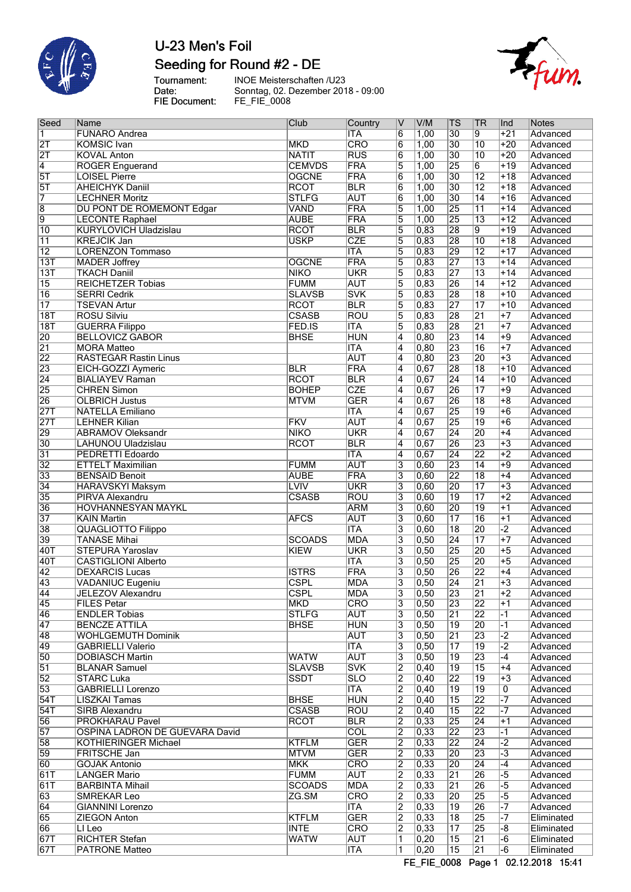

# U-23 Men's Foil Seeding for Round #2 - DE

fum.

Tournament:<br>Date:<br>FIE Document:

INOE Meisterschaften /U23<br>Sonntag, 02. Dezember 2018 - 09:00<br>FE\_FIE\_0008

| Seed                     | Name                                                  | Club          | Country           | $\overline{\mathsf{v}}$   | V/M                        | <b>TS</b>             | <b>TR</b>       | Ind                     | Notes                   |
|--------------------------|-------------------------------------------------------|---------------|-------------------|---------------------------|----------------------------|-----------------------|-----------------|-------------------------|-------------------------|
| $\overline{1}$           | <b>FUNARO Andrea</b>                                  |               | <b>ITA</b>        | $6\overline{6}$           | 1,00                       | $\overline{30}$       | 9               | $+21$                   | Advanced                |
| $\overline{2T}$          | <b>KOMSIC</b> Ivan                                    | <b>MKD</b>    | CRO               | $\overline{6}$            | 1,00                       | $\overline{30}$       | $\overline{10}$ | $+20$                   | Advanced                |
| $\overline{\mathsf{2T}}$ | <b>KOVAL Anton</b>                                    | <b>NATIT</b>  | <b>RUS</b>        | $\overline{6}$            | 1,00                       | $\overline{30}$       | $\overline{10}$ | $+20$                   | Advanced                |
| $\overline{4}$           | <b>ROGER Enguerand</b>                                | <b>CEMVDS</b> | FRA               | $\overline{5}$            | 1,00                       | $\overline{25}$       | $\overline{6}$  | $+19$                   | Advanced                |
| 5T                       | <b>LOISEL Pierre</b>                                  | <b>OGCNE</b>  | FRA               | $\overline{6}$            | 1,00                       | $\overline{30}$       | $\overline{12}$ | $+18$                   | Advanced                |
| 5T                       | <b>AHEICHYK Daniil</b>                                | <b>RCOT</b>   | <b>BLR</b>        | $\overline{6}$            | 1,00                       | $\overline{30}$       | $\overline{12}$ | $+18$                   | Advanced                |
| $\overline{7}$           | <b>LECHNER Moritz</b>                                 | <b>STLFG</b>  | <b>AUT</b>        | $\overline{6}$            | 1,00                       | $\overline{30}$       | $\overline{14}$ | $+16$                   | Advanced                |
| $\overline{8}$           | <b>DU PONT DE ROMEMONT Edgar</b>                      | VAND          | FRA               | $\overline{5}$            | 1,00                       | 25                    | $\overline{11}$ | $+14$                   | Advanced                |
| $\overline{9}$           | <b>LECONTE Raphael</b>                                | <b>AUBE</b>   | FRA               | $\overline{5}$            | 1,00                       | $\overline{25}$       | $\overline{13}$ | $+12$                   | Advanced                |
| $\overline{10}$          | <b>KURYLOVICH Uladzislau</b>                          | <b>RCOT</b>   | <b>BLR</b>        | $\overline{5}$            | 0,83                       | 28                    | $\overline{9}$  | $+19$                   | Advanced                |
| $\overline{11}$          | <b>KREJCIK Jan</b>                                    | <b>USKP</b>   | <b>CZE</b>        | $\overline{5}$            | 0,83                       | $\overline{28}$       | $\overline{10}$ | $+18$                   | Advanced                |
| $\overline{12}$          | <b>LORENZON Tommaso</b>                               |               | <b>ITA</b>        | $\overline{5}$            | 0,83                       | 29                    | $\overline{12}$ | $+17$                   | Advanced                |
| 13T                      | <b>MADER Joffrey</b>                                  | <b>OGCNE</b>  | FRA               | $\overline{5}$            | 0,83                       | $\overline{27}$       | $\overline{13}$ | $+14$                   | Advanced                |
| $\overline{13T}$         | <b>TKACH Daniil</b>                                   | <b>NIKO</b>   | <b>UKR</b>        | $\overline{5}$            | 0,83                       | 27                    | $\overline{13}$ | $+14$                   | Advanced                |
| $\overline{15}$          | <b>REICHETZER Tobias</b>                              | <b>FUMM</b>   | <b>AUT</b>        | $\overline{5}$            | 0,83                       | 26                    | $\overline{14}$ | $+12$                   | Advanced                |
| $\overline{16}$          | <b>SERRI Cedrik</b>                                   | <b>SLAVSB</b> | <b>SVK</b>        | $\overline{5}$            | 0,83                       | $\overline{28}$       | $\overline{18}$ | $+10$                   | Advanced                |
| $\overline{17}$          | <b>TSEVAN Artur</b>                                   | <b>RCOT</b>   | <b>BLR</b>        | $\overline{5}$            | 0,83                       | 27                    | $\overline{17}$ | $+10$                   |                         |
|                          |                                                       | <b>CSASB</b>  | ROU               | $\overline{5}$            |                            | 28                    |                 | $+7$                    | Advanced                |
| 18T                      | <b>ROSU Silviu</b>                                    |               |                   |                           | 0,83                       |                       | $\overline{21}$ |                         | Advanced                |
| 18T                      | <b>GUERRA Filippo</b>                                 | FED.IS        | <b>ITA</b>        | $\overline{5}$            | 0,83                       | 28                    | $\overline{21}$ | $+7$                    | Advanced                |
| 20                       | <b>BELLOVICZ GABOR</b>                                | <b>BHSE</b>   | <b>HUN</b>        | $\overline{4}$            | 0,80                       | 23                    | $\overline{14}$ | $+9$                    | Advanced                |
| $\overline{21}$          | <b>MORA Matteo</b>                                    |               | <b>ITA</b>        | $\overline{4}$            | 0,80                       | 23                    | 16              | $\overline{+7}$         | Advanced                |
| 22                       | <b>RASTEGAR Rastin Linus</b>                          |               | <b>AUT</b>        | $\overline{4}$            | 0,80                       | $\overline{23}$       | 20              | $+3$                    | Advanced                |
| 23                       | EICH-GOZZI Aymeric                                    | <b>BLR</b>    | FRA               | $\overline{4}$            | 0,67                       | 28                    | $\overline{18}$ | $+10$                   | Advanced                |
| $\overline{24}$          | <b>BIALIAYEV Raman</b>                                | <b>RCOT</b>   | <b>BLR</b>        | $\overline{4}$            | 0,67                       | $\overline{24}$       | $\overline{14}$ | $+10$                   | Advanced                |
| 25                       | <b>CHREN Simon</b>                                    | <b>BOHEP</b>  | <b>CZE</b>        | $\overline{4}$            | 0,67                       | 26                    | $\overline{17}$ | $+9$                    | Advanced                |
| 26                       | <b>OLBRICH Justus</b>                                 | <b>MTVM</b>   | <b>GER</b>        | $\overline{4}$            | 0,67                       | 26                    | $\overline{18}$ | $\overline{+8}$         | Advanced                |
| <b>27T</b>               | <b>NATELLA Emiliano</b>                               |               | <b>ITA</b>        | $\overline{4}$            | 0,67                       | $\overline{25}$       | $\overline{19}$ | $+6$                    | Advanced                |
| 27T                      | <b>LEHNER Kilian</b>                                  | FKV           | <b>AUT</b>        | $\overline{4}$            | 0,67                       | $\overline{25}$       | $\overline{19}$ | $+6$                    | Advanced                |
| 29                       | <b>ABRAMOV Oleksandr</b>                              | <b>NIKO</b>   | <b>UKR</b>        | $\overline{4}$            | 0,67                       | $\overline{24}$       | 20              | $+4$                    | Advanced                |
| $\overline{30}$          | LAHUNOU Uladzislau                                    | <b>RCOT</b>   | <b>BLR</b>        | $\overline{4}$            | 0,67                       | $\overline{26}$       | 23              | $+3$                    | Advanced                |
| $\overline{31}$          | PEDRETTI Edoardo                                      |               | <b>ITA</b>        | $\overline{4}$            | 0,67                       | $\overline{24}$       | 22              | $+2$                    | Advanced                |
| $\overline{32}$          | <b>ETTELT Maximilian</b>                              | <b>FUMM</b>   | <b>AUT</b>        | $\overline{3}$            | 0,60                       | 23                    | $\overline{14}$ | $+9$                    | Advanced                |
| $\overline{33}$          | <b>BENSAID Benoit</b>                                 | <b>AUBE</b>   | FRA               | $\overline{3}$            | 0,60                       | $\overline{22}$       | $\overline{18}$ | $+4$                    | Advanced                |
| $\overline{34}$          | <b>HARAVSKYI Maksym</b>                               | <b>LVIV</b>   | <b>UKR</b>        | $\overline{3}$            | 0,60                       | $\overline{20}$       | $\overline{17}$ | $\overline{+3}$         | Advanced                |
| 35                       | <b>PIRVA Alexandru</b>                                | <b>CSASB</b>  | ROU               | $\overline{3}$            | 0,60                       | $\overline{19}$       | $\overline{17}$ | $\overline{+2}$         | Advanced                |
| $\overline{36}$          | <b>HOVHANNESYAN MAYKL</b>                             |               | <b>ARM</b>        | $\overline{\overline{3}}$ | 0,60                       | 20                    | $\overline{19}$ | $\overline{+1}$         | Advanced                |
| $\overline{37}$          | <b>KAIN Martin</b>                                    | <b>AFCS</b>   | <b>AUT</b>        | $\overline{3}$            | 0,60                       | $\overline{17}$       | 16              | $+1$                    | Advanced                |
| $\overline{38}$          | <b>QUAGLIOTTO Filippo</b>                             |               | <b>ITA</b>        | 3                         | 0,60                       | $\overline{18}$       | 20              | $\overline{2}$          | Advanced                |
| 39                       | <b>TANASE Mihai</b>                                   | <b>SCOADS</b> | <b>MDA</b>        | $\overline{3}$            | 0,50                       | $\overline{24}$       | $\overline{17}$ | $+7$                    | Advanced                |
| 40T                      | <b>STEPURA Yaroslav</b>                               | KIEW          | <b>UKR</b>        | $\overline{\overline{3}}$ | 0,50                       | $\overline{25}$       | 20              | $+5$                    | Advanced                |
| 40T                      | <b>CASTIGLIONI Alberto</b>                            |               | <b>ITA</b>        | $\overline{3}$            | 0,50                       | $\overline{25}$       | 20              | $+5$                    | Advanced                |
| $\overline{42}$          | <b>DEXARCIS Lucas</b>                                 | <b>ISTRS</b>  | <b>FRA</b>        | $\overline{\mathbf{3}}$   | 0,50                       | $\overline{26}$       | 22              | $+4$                    | Advanced                |
| 43                       | <b>VADANIUC Eugeniu</b>                               | <b>CSPL</b>   | <b>MDA</b>        | 3                         | 0,50                       | $\overline{24}$       | $\overline{21}$ | $\overline{+3}$         | Advanced                |
| 44                       | JELEZOV Alexandru                                     | CSPL          | MDA               |                           | 0,50                       | 23                    | 21              | +2                      | Advanced                |
| 45                       | FILES Petar                                           | <b>MKD</b>    | <b>CRO</b>        | 3<br>$\overline{3}$       | 0, 50                      | 23                    | $ 22\rangle$    | $+1$                    | Advanced                |
| 46                       | <b>ENDLER Tobias</b>                                  | <b>STLFG</b>  | <b>AUT</b>        | 3                         | 0, 50                      | $\overline{21}$       | $ 22\rangle$    | -1                      |                         |
| 47                       |                                                       |               |                   |                           |                            |                       |                 |                         | Advanced                |
| 48                       | <b>BENCZE ATTILA</b>                                  | <b>BHSE</b>   | HUN<br><b>AUT</b> | 3<br>$\overline{3}$       | 0, 50<br>$\overline{0,50}$ | 19<br>$\overline{21}$ | 20<br>23        | $-1$<br>$\overline{-2}$ | Advanced                |
| 49                       | <b>WOHLGEMUTH Dominik</b><br><b>GABRIELLI Valerio</b> |               | <b>ITA</b>        |                           |                            | $\overline{17}$       |                 | $\overline{.2}$         | Advanced                |
|                          |                                                       |               |                   | $\overline{3}$            | $\overline{0,50}$          |                       | $\overline{19}$ |                         | Advanced                |
| 50                       | <b>DOBIASCH Martin</b>                                | <b>WATW</b>   | <b>AUT</b>        | 3                         | 0,50                       | $\overline{19}$       | $\overline{23}$ | -4                      | Advanced                |
| $\overline{51}$          | <b>BLANAR Samuel</b>                                  | <b>SLAVSB</b> | <b>SVK</b>        | $\overline{2}$            | $ 0,40\rangle$             | $\overline{19}$       | 15              | $+4$                    | Advanced                |
| $\overline{52}$          | <b>STARC Luka</b>                                     | <b>SSDT</b>   | <b>SLO</b>        | $\overline{2}$            | 0,40                       | $\overline{22}$       | 19              | $+3$                    | Advanced                |
| 53                       | <b>GABRIELLI Lorenzo</b>                              |               | <b>ITA</b>        | $\overline{2}$            | $\overline{0,40}$          | 19                    | $\overline{19}$ | 0                       | Advanced                |
| 54T                      | <b>LISZKAI Tamas</b>                                  | <b>BHSE</b>   | <b>HUN</b>        | 2                         | $ 0,40\rangle$             | 15                    | 22              | $\overline{-7}$         | Advanced                |
| 54T                      | <b>SIRB Alexandru</b>                                 | <b>CSASB</b>  | ROU               | $\overline{2}$            | 0,40                       | 15                    | 22              | $-7$                    | Advanced                |
| 56                       | <b>PROKHARAU Pavel</b>                                | <b>RCOT</b>   | <b>BLR</b>        | $\overline{2}$            | 0,33                       | 25                    | $\overline{24}$ | $+1$                    | Advanced                |
| 57                       | OSPINA LADRON DE GUEVARA David                        |               | <b>COL</b>        | $\overline{2}$            | 0,33                       | 22                    | 23              | -1                      | Advanced                |
| 58                       | <b>KOTHIERINGER Michael</b>                           | <b>KTFLM</b>  | <b>GER</b>        | $\overline{2}$            | 0,33                       | 22                    | $\overline{24}$ | $-2$                    | Advanced                |
| 59                       | <b>FRITSCHE Jan</b>                                   | <b>MTVM</b>   | <b>GER</b>        | $\overline{2}$            | 0,33                       | 20                    | $\overline{23}$ | $-3$                    | Advanced                |
| 60                       | <b>GOJAK Antonio</b>                                  | <b>MKK</b>    | CRO               | $\overline{2}$            | 0,33                       | 20                    | $\overline{24}$ | $-4$                    | Advanced                |
| 61T                      | <b>LANGER Mario</b>                                   | <b>FUMM</b>   | <b>AUT</b>        | $\overline{2}$            | 0,33                       | $\overline{21}$       | 26              | $\overline{-5}$         | Advanced                |
| 61T                      | <b>BARBINTA Mihail</b>                                | <b>SCOADS</b> | <b>MDA</b>        | $\overline{2}$            | 0,33                       | $\overline{21}$       | 26              | $\overline{-5}$         | Advanced                |
| 63                       | <b>SMREKAR Leo</b>                                    | ZG.SM         | <b>CRO</b>        | 2                         | 0,33                       | 20                    | 25              | -5                      | Advanced                |
| 64                       | <b>GIANNINI Lorenzo</b>                               |               | <b>ITA</b>        | $\overline{2}$            | 0,33                       | 19                    | 26              | $-7$                    | Advanced                |
| 65                       | <b>ZIEGON Anton</b>                                   | <b>KTFLM</b>  | <b>GER</b>        | $\overline{2}$            | 0,33                       | 18                    | 25              | $-7$                    | Eliminated              |
| 66                       | LI Leo                                                | <b>INTE</b>   | <b>CRO</b>        | $\overline{2}$            | 0,33                       | 17                    | 25              | -8                      | Eliminated              |
| $\overline{67T}$         | <b>RICHTER Stefan</b>                                 | <b>WATW</b>   | <b>AUT</b>        | 1                         | $ 0,20\rangle$             | 15                    | $\overline{21}$ | -6                      | Eliminated              |
| 67T                      | <b>PATRONE Matteo</b>                                 |               | <b>ITA</b>        | 1                         | $ 0,20\rangle$             | $\overline{15}$       | $\overline{21}$ | -6                      | Eliminated              |
|                          |                                                       |               |                   |                           | EE EIE AAAQ                |                       |                 |                         | Dogo 1 02.12.2019 15:41 |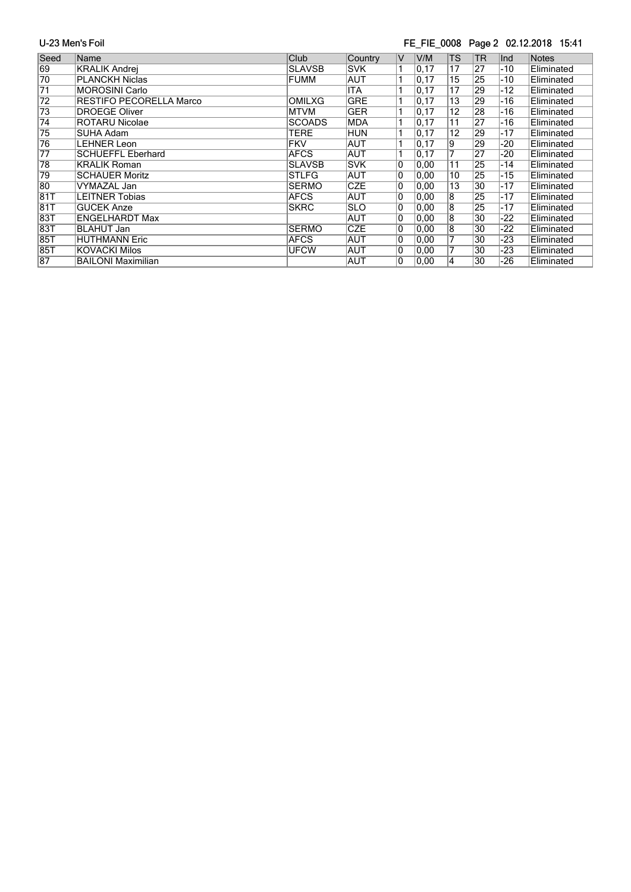#### FE\_FIE\_0008 Page 2 02.12.2018 15:41

| Seed            | Name                           | Club          | Country    | IV | V/M   | TS              | <b>TR</b> | Ind   | <b>Notes</b> |
|-----------------|--------------------------------|---------------|------------|----|-------|-----------------|-----------|-------|--------------|
| 69              | <b>KRALIK Andrei</b>           | <b>SLAVSB</b> | <b>SVK</b> |    | 0, 17 | 17              | 27        | $-10$ | Eliminated   |
| 70              | <b>PLANCKH Niclas</b>          | <b>FUMM</b>   | <b>AUT</b> |    | 0, 17 | 15              | 25        | $-10$ | Eliminated   |
| $\overline{71}$ | <b>MOROSINI Carlo</b>          |               | <b>ITA</b> |    | 0, 17 | 17              | 29        | $-12$ | Eliminated   |
| $\overline{72}$ | <b>RESTIFO PECORELLA Marco</b> | <b>OMILXG</b> | <b>GRE</b> |    | 0, 17 | 13              | 29        | $-16$ | Eliminated   |
| $\overline{73}$ | <b>DROEGE Oliver</b>           | <b>MTVM</b>   | <b>GER</b> |    | 0, 17 | $\overline{12}$ | 28        | -16   | Eliminated   |
| $\overline{74}$ | <b>ROTARU Nicolae</b>          | <b>SCOADS</b> | <b>MDA</b> |    | 0, 17 | 11              | 27        | -16   | Eliminated   |
| $\overline{75}$ | SUHA Adam                      | <b>TERE</b>   | <b>HUN</b> |    | 0, 17 | $\overline{12}$ | 29        | $-17$ | Eliminated   |
| 76              | LEHNER Leon                    | <b>FKV</b>    | <b>AUT</b> |    | 0, 17 | 9               | 29        | -20   | Eliminated   |
| $\overline{77}$ | <b>SCHUEFFL Eberhard</b>       | <b>AFCS</b>   | <b>AUT</b> |    | 0, 17 | 7               | 27        | -20   | Eliminated   |
| 78              | <b>KRALIK Roman</b>            | <b>SLAVSB</b> | <b>SVK</b> | 10 | 0,00  | 11              | 25        | $-14$ | Eliminated   |
| 79              | <b>SCHAUER Moritz</b>          | <b>STLFG</b>  | <b>AUT</b> | 10 | 0,00  | 10              | 25        | $-15$ | Eliminated   |
| 80              | VYMAZAL Jan                    | <b>SERMO</b>  | <b>CZE</b> | 0  | 0,00  | 13              | 30        | $-17$ | Eliminated   |
| 81T             | LEITNER Tobias                 | <b>AFCS</b>   | AUT        | 10 | 0,00  | 8               | 25        | $-17$ | Eliminated   |
| 81T             | <b>GUCEK Anze</b>              | <b>SKRC</b>   | <b>SLO</b> | 10 | 0,00  | $\overline{8}$  | 25        | $-17$ | Eliminated   |
| 83T             | <b>ENGELHARDT Max</b>          |               | <b>AUT</b> | 10 | 0,00  | $\overline{8}$  | 30        | -22   | Eliminated   |
| 83T             | <b>BLAHUT Jan</b>              | <b>SERMO</b>  | <b>CZE</b> | 10 | 0,00  | $\overline{8}$  | 30        | $-22$ | Eliminated   |
| 85T             | <b>HUTHMANN Eric</b>           | <b>AFCS</b>   | <b>AUT</b> | 10 | 0,00  | 7               | 30        | $-23$ | Eliminated   |
| 85T             | <b>KOVACKI Milos</b>           | <b>UFCW</b>   | <b>AUT</b> | 10 | 0,00  | 7               | 30        | -23   | Eliminated   |
| 87              | <b>BAILONI Maximilian</b>      |               | <b>AUT</b> | 10 | 0,00  | 4               | 30        | -26   | Eliminated   |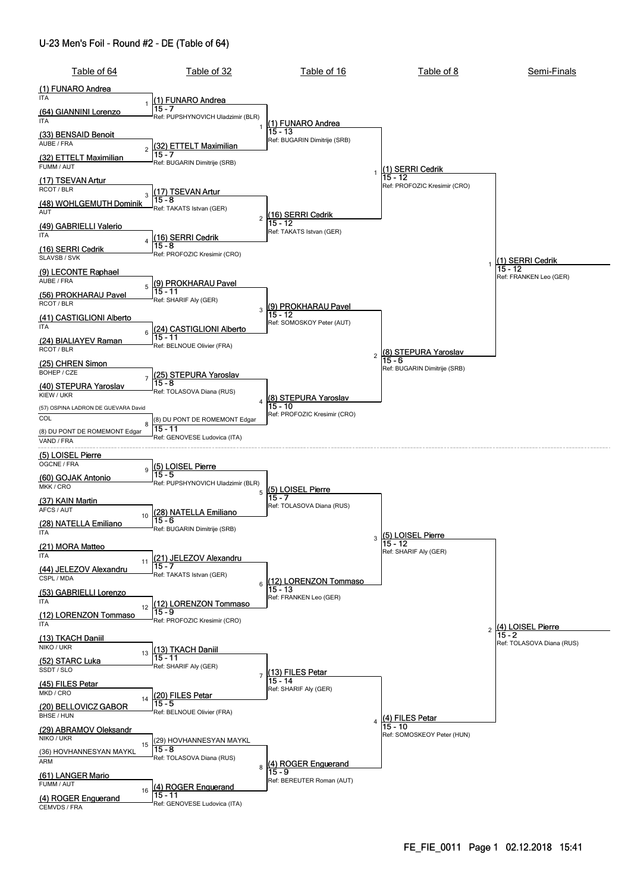#### U-23 Men's Foil - Round #2 - DE (Table of 64)

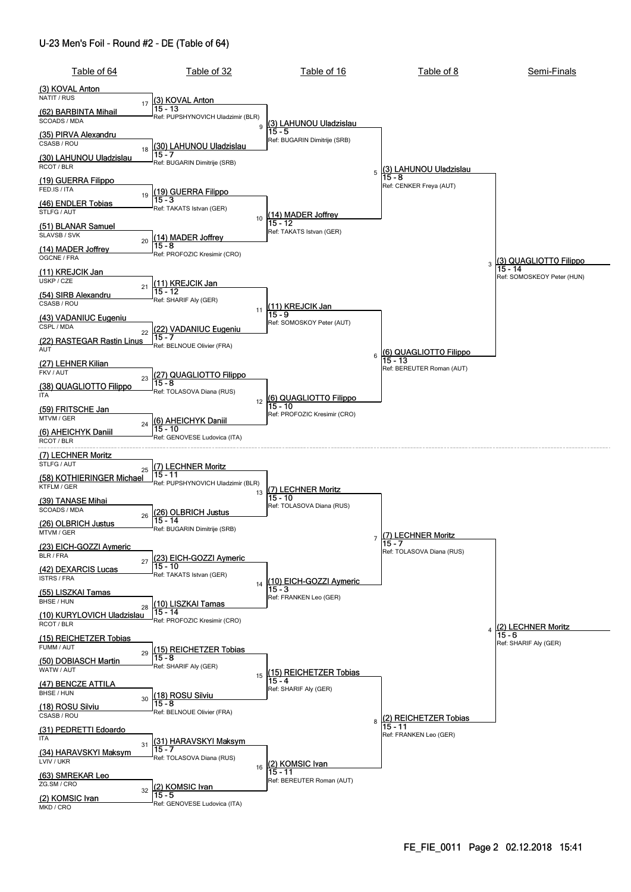#### U-23 Men's Foil - Round #2 - DE (Table of 64)

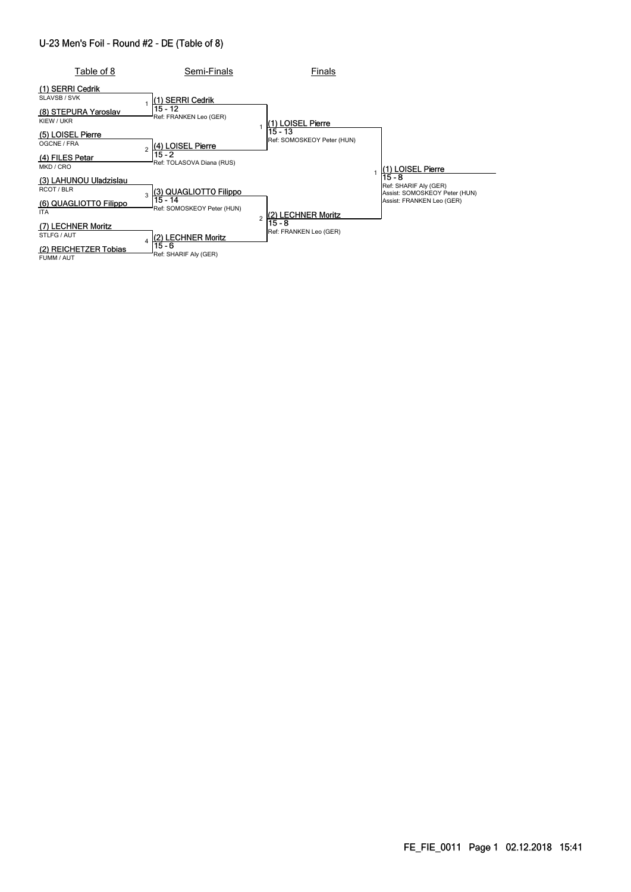#### U-23 Men's Foil - Round #2 - DE (Table of 8)

| Table of 8                                                   | Semi-Finals                           | Finals                           |                                                        |
|--------------------------------------------------------------|---------------------------------------|----------------------------------|--------------------------------------------------------|
| (1) SERRI Cedrik<br>SLAVSB / SVK<br>(8) STEPURA Yaroslav     | (1) SERRI Cedrik<br>15 - 12           |                                  |                                                        |
| KIEW / UKR                                                   | Ref: FRANKEN Leo (GER)                | (1) LOISEL Pierre<br>15 - 13     |                                                        |
| (5) LOISEL Pierre<br>OGCNE / FRA<br>$\mathfrak{p}$           | (4) LOISEL Pierre<br>$15 - 2$         | Ref: SOMOSKEOY Peter (HUN)       |                                                        |
| (4) FILES Petar<br>MKD / CRO                                 | Ref: TOLASOVA Diana (RUS)             |                                  | (1) LOISEL Pierre<br>$15 - 8$                          |
| (3) LAHUNOU Uladzislau<br>RCOT/BLR<br>3                      | (3) QUAGLIOTTO Filippo                |                                  | Ref: SHARIF Aly (GER)<br>Assist: SOMOSKEOY Peter (HUN) |
| (6) QUAGLIOTTO Filippo<br><b>ITA</b>                         | 15 - 14<br>Ref: SOMOSKEOY Peter (HUN) | (2) LECHNER Moritz               | Assist: FRANKEN Leo (GER)                              |
| (7) LECHNER Moritz<br>STLFG / AUT<br>$\overline{\mathbf{A}}$ | (2) LECHNER Moritz                    | 15 - 8<br>Ref: FRANKEN Leo (GER) |                                                        |
| (2) REICHETZER Tobias<br>FUMM / AUT                          | 15 - 6<br>Ref: SHARIF Aly (GER)       |                                  |                                                        |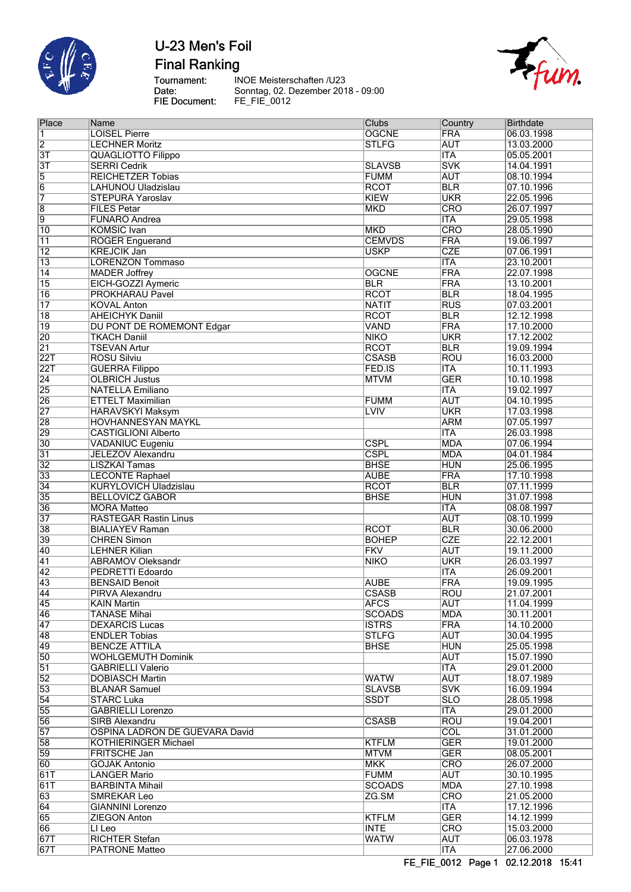

**Final Ranking** 

Tournament:<br>Date:<br>FIE Document:

INOE Meisterschaften /U23 Sonntag, 02. Dezember 2018 - 09:00<br>FE\_FIE\_0012



| Place            | Name                           | <b>Clubs</b>  | Country                 | <b>Birthdate</b> |
|------------------|--------------------------------|---------------|-------------------------|------------------|
| 1                | <b>LOISEL Pierre</b>           | <b>OGCNE</b>  | <b>FRA</b>              | 06.03.1998       |
| $\overline{2}$   | <b>LECHNER Moritz</b>          | <b>STLFG</b>  | <b>AUT</b>              | 13.03.2000       |
| $\overline{3T}$  | <b>QUAGLIOTTO Filippo</b>      |               | <b>ITA</b>              | 05.05.2001       |
| $\overline{3T}$  | <b>SERRI Cedrik</b>            | <b>SLAVSB</b> | <b>SVK</b>              | 14.04.1991       |
| $\overline{5}$   | <b>REICHETZER Tobias</b>       | <b>FUMM</b>   | <b>AUT</b>              | 08.10.1994       |
| $\overline{6}$   | LAHUNOU Uladzislau             | <b>RCOT</b>   | BLR                     | 07.10.1996       |
| $\overline{7}$   | <b>STEPURA Yaroslav</b>        | <b>KIEW</b>   | <b>UKR</b>              | 22.05.1996       |
| $\overline{8}$   | <b>FILES Petar</b>             | <b>MKD</b>    | <b>CRO</b>              | 26.07.1997       |
| 9                | <b>FUNARO Andrea</b>           |               | <b>ITA</b>              | 29.05.1998       |
| $\overline{10}$  | <b>KOMSIC</b> Ivan             | <b>MKD</b>    | CRO                     | 28.05.1990       |
| $\overline{11}$  | <b>ROGER Enguerand</b>         | <b>CEMVDS</b> | <b>FRA</b>              | 19.06.1997       |
| $\overline{12}$  | <b>KREJCIK Jan</b>             | <b>USKP</b>   | <b>CZE</b>              | 07.06.1991       |
| $\overline{13}$  | <b>LORENZON Tommaso</b>        |               | <b>ITA</b>              | 23.10.2001       |
| 14               | <b>MADER Joffrey</b>           | <b>OGCNE</b>  | <b>FRA</b>              | 22.07.1998       |
| $\overline{15}$  | EICH-GOZZI Aymeric             | <b>BLR</b>    | <b>FRA</b>              | 13.10.2001       |
| 16               | <b>PROKHARAU Pavel</b>         | <b>RCOT</b>   | <b>BLR</b>              | 18.04.1995       |
| $\overline{17}$  | <b>KOVAL Anton</b>             | <b>NATIT</b>  | $\overline{\text{RUS}}$ | 07.03.2001       |
| $\overline{18}$  | <b>AHEICHYK Daniil</b>         | <b>RCOT</b>   | <b>BLR</b>              | 12.12.1998       |
| $\overline{19}$  | DU PONT DE ROMEMONT Edgar      | <b>VAND</b>   | <b>FRA</b>              | 17.10.2000       |
| 20               | <b>TKACH Daniil</b>            | <b>NIKO</b>   | <b>UKR</b>              | 17.12.2002       |
| $\overline{21}$  | <b>TSEVAN Artur</b>            | <b>RCOT</b>   | <b>BLR</b>              | 19.09.1994       |
| 22T              | <b>ROSU Silviu</b>             | <b>CSASB</b>  | <b>ROU</b>              | 16.03.2000       |
| $\overline{22T}$ | <b>GUERRA Filippo</b>          | FED.IS        | <b>ITA</b>              | 10.11.1993       |
| $\overline{24}$  | <b>OLBRICH Justus</b>          | <b>MTVM</b>   | <b>GER</b>              | 10.10.1998       |
| 25               | <b>NATELLA Emiliano</b>        |               | <b>ITA</b>              | 19.02.1997       |
| 26               | <b>ETTELT Maximilian</b>       | <b>FUMM</b>   | <b>AUT</b>              | 04.10.1995       |
| $\overline{27}$  | <b>HARAVSKYI Maksym</b>        | <b>LVIV</b>   | <b>UKR</b>              | 17.03.1998       |
| $\overline{28}$  | <b>HOVHANNESYAN MAYKL</b>      |               | <b>ARM</b>              | 07.05.1997       |
| 29               | <b>CASTIGLIONI Alberto</b>     |               | <b>ITA</b>              | 26.03.1998       |
| $\overline{30}$  | <b>VADANIUC Eugeniu</b>        | <b>CSPL</b>   | <b>MDA</b>              | 07.06.1994       |
| $\overline{31}$  | <b>JELEZOV Alexandru</b>       | <b>CSPL</b>   | <b>MDA</b>              | 04.01.1984       |
| $\overline{32}$  | <b>LISZKAI Tamas</b>           | <b>BHSE</b>   | <b>HUN</b>              | 25.06.1995       |
| 33               | <b>LECONTE Raphael</b>         | <b>AUBE</b>   | <b>FRA</b>              | 17.10.1998       |
| 34               | <b>KURYLOVICH Uladzislau</b>   | <b>RCOT</b>   | <b>BLR</b>              | 07.11.1999       |
| 35               | <b>BELLOVICZ GABOR</b>         | <b>BHSE</b>   | <b>HUN</b>              | 31.07.1998       |
| 36               | <b>MORA Matteo</b>             |               | $\overline{\text{ITA}}$ | 08.08.1997       |
| 37               | <b>RASTEGAR Rastin Linus</b>   |               | <b>AUT</b>              | 08.10.1999       |
| 38               | <b>BIALIAYEV Raman</b>         | <b>RCOT</b>   | <b>BLR</b>              | 30.06.2000       |
| 39               | <b>CHREN Simon</b>             | <b>BOHEP</b>  | <b>CZE</b>              | 22.12.2001       |
| 40               | <b>LEHNER Kilian</b>           | <b>FKV</b>    | <b>AUT</b>              | 19.11.2000       |
| 41               | <b>ABRAMOV Oleksandr</b>       | <b>NIKO</b>   | <b>UKR</b>              | 26.03.1997       |
| $\overline{42}$  | PEDRETTI Edoardo               |               | <b>ITA</b>              | 26.09.2001       |
| 43               | <b>BENSAID Benoit</b>          | <b>AUBE</b>   | <b>FRA</b>              | 19.09.1995       |
| 44               | PIRVA Alexandru                | <b>CSASB</b>  | <b>ROU</b>              | 21.07.2001       |
| 45               | KAIN Martin                    | <b>AFCS</b>   | <b>AUT</b>              | 11.04.1999       |
| 46               | <b>TANASE Mihai</b>            | <b>SCOADS</b> | <b>MDA</b>              | 30.11.2001       |
| $\overline{47}$  | <b>DEXARCIS Lucas</b>          | <b>ISTRS</b>  | <b>FRA</b>              | 14.10.2000       |
| 48               | <b>ENDLER Tobias</b>           | <b>STLFG</b>  | <b>AUT</b>              | 30.04.1995       |
| 49               | <b>BENCZE ATTILA</b>           | <b>BHSE</b>   | <b>HUN</b>              | 25.05.1998       |
| 50               | <b>WOHLGEMUTH Dominik</b>      |               | <b>AUT</b>              | 15.07.1990       |
| $\overline{51}$  | <b>GABRIELLI Valerio</b>       |               | ITA                     | 29.01.2000       |
| $\overline{52}$  | <b>DOBIASCH Martin</b>         | <b>WATW</b>   | <b>AUT</b>              | 18.07.1989       |
| 53               | <b>BLANAR Samuel</b>           | <b>SLAVSB</b> | <b>SVK</b>              | 16.09.1994       |
| $\overline{54}$  | <b>STARC Luka</b>              | <b>SSDT</b>   | $\overline{\text{SLO}}$ | 28.05.1998       |
| 55               | <b>GABRIELLI Lorenzo</b>       |               | <b>ITA</b>              | 29.01.2000       |
| 56               | SIRB Alexandru                 | <b>CSASB</b>  | <b>ROU</b>              | 19.04.2001       |
| 57               | OSPINA LADRON DE GUEVARA David |               | COL                     | 31.01.2000       |
| 58               | KOTHIERINGER Michael           | <b>KTFLM</b>  | <b>GER</b>              | 19.01.2000       |
| 59               | FRITSCHE Jan                   | <b>MTVM</b>   | <b>GER</b>              | 08.05.2001       |
| 60               | <b>GOJAK Antonio</b>           | <b>MKK</b>    | <b>CRO</b>              | 26.07.2000       |
| 61T              | <b>LANGER Mario</b>            | <b>FUMM</b>   | <b>AUT</b>              | 30.10.1995       |
| 61T              | <b>BARBINTA Mihail</b>         | <b>SCOADS</b> | <b>MDA</b>              | 27.10.1998       |
| 63               | <b>SMREKAR Leo</b>             | ZG.SM         | CRO                     | 21.05.2000       |
| 64               | <b>GIANNINI Lorenzo</b>        |               | <b>ITA</b>              | 17.12.1996       |
| 65               | ZIEGON Anton                   | <b>KTFLM</b>  | <b>GER</b>              | 14.12.1999       |
| 66               | LI Leo                         | <b>INTE</b>   | <b>CRO</b>              | 15.03.2000       |
| 67T              | <b>RICHTER Stefan</b>          | <b>WATW</b>   | <b>AUT</b>              | 06.03.1978       |
| 67T              | <b>PATRONE Matteo</b>          |               | <b>ITA</b>              | 27.06.2000       |
|                  |                                |               |                         |                  |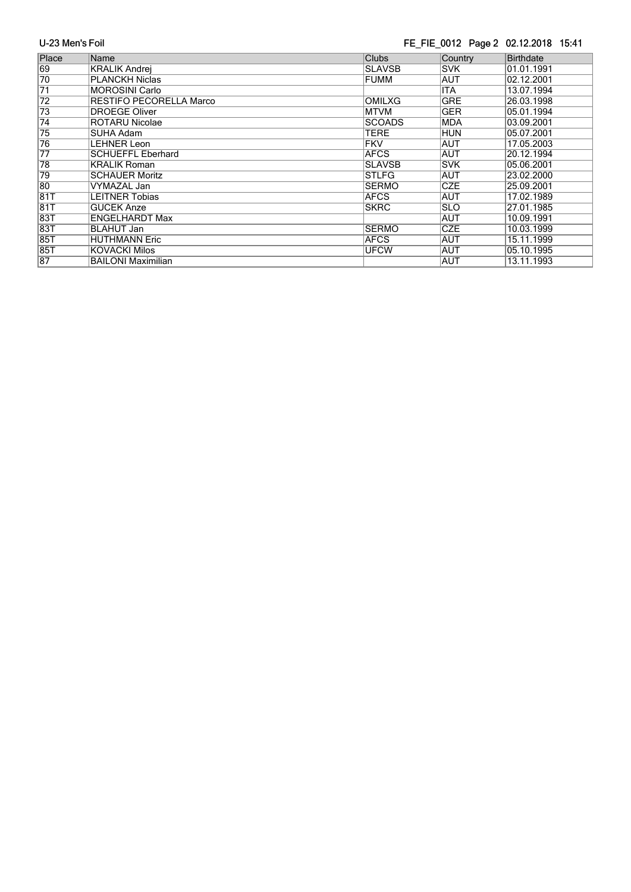### FE\_FIE\_0012 Page 2 02.12.2018 15:41

| Place           | Name                           | <b>Clubs</b>  | Country    | <b>Birthdate</b> |
|-----------------|--------------------------------|---------------|------------|------------------|
| 69              | <b>KRALIK Andrei</b>           | <b>SLAVSB</b> | <b>SVK</b> | 01.01.1991       |
| 70              | <b>PLANCKH Niclas</b>          | <b>FUMM</b>   | AUT        | 02.12.2001       |
| $\overline{71}$ | <b>MOROSINI Carlo</b>          |               | <b>ITA</b> | 13.07.1994       |
| 72              | <b>RESTIFO PECORELLA Marco</b> | <b>OMILXG</b> | <b>GRE</b> | 26.03.1998       |
| 73              | <b>DROEGE Oliver</b>           | <b>MTVM</b>   | <b>GER</b> | 05.01.1994       |
| $\overline{74}$ | <b>ROTARU Nicolae</b>          | <b>SCOADS</b> | <b>MDA</b> | 03.09.2001       |
| 75              | SUHA Adam                      | <b>TERE</b>   | <b>HUN</b> | 05.07.2001       |
| 76              | <b>LEHNER Leon</b>             | <b>FKV</b>    | <b>AUT</b> | 17.05.2003       |
| $\overline{77}$ | <b>SCHUEFFL Eberhard</b>       | <b>AFCS</b>   | <b>AUT</b> | 20.12.1994       |
| 78              | <b>KRALIK Roman</b>            | <b>SLAVSB</b> | <b>SVK</b> | 05.06.2001       |
| 79              | <b>SCHAUER Moritz</b>          | <b>STLFG</b>  | <b>AUT</b> | 23.02.2000       |
| 80              | VYMAZAL Jan                    | <b>SERMO</b>  | <b>CZE</b> | 25.09.2001       |
| 81T             | <b>LEITNER Tobias</b>          | <b>AFCS</b>   | AUT        | 17.02.1989       |
| 81T             | <b>GUCEK Anze</b>              | <b>SKRC</b>   | <b>SLO</b> | 27.01.1985       |
| 83T             | <b>ENGELHARDT Max</b>          |               | <b>AUT</b> | 10.09.1991       |
| 83T             | <b>BLAHUT Jan</b>              | <b>SERMO</b>  | <b>CZE</b> | 10.03.1999       |
| <b>85T</b>      | <b>HUTHMANN Eric</b>           | <b>AFCS</b>   | <b>AUT</b> | 15.11.1999       |
| <b>85T</b>      | <b>KOVACKI Milos</b>           | <b>UFCW</b>   | <b>AUT</b> | 05.10.1995       |
| $\overline{87}$ | <b>BAILONI Maximilian</b>      |               | AUT        | 13.11.1993       |